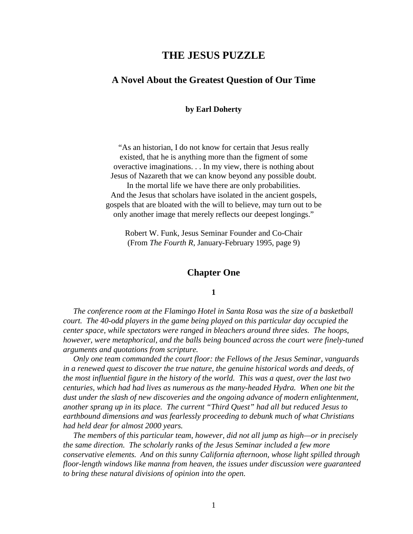# **THE JESUS PUZZLE**

# **A Novel About the Greatest Question of Our Time**

**by Earl Doherty**

"As an historian, I do not know for certain that Jesus really existed, that he is anything more than the figment of some overactive imaginations. . . In my view, there is nothing about Jesus of Nazareth that we can know beyond any possible doubt. In the mortal life we have there are only probabilities. And the Jesus that scholars have isolated in the ancient gospels, gospels that are bloated with the will to believe, may turn out to be only another image that merely reflects our deepest longings."

Robert W. Funk, Jesus Seminar Founder and Co-Chair (From *The Fourth R*, January-February 1995, page 9)

### **Chapter One**

### **1**

 *The conference room at the Flamingo Hotel in Santa Rosa was the size of a basketball court. The 40-odd players in the game being played on this particular day occupied the center space, while spectators were ranged in bleachers around three sides. The hoops, however, were metaphorical, and the balls being bounced across the court were finely-tuned arguments and quotations from scripture.*

 *Only one team commanded the court floor: the Fellows of the Jesus Seminar, vanguards in a renewed quest to discover the true nature, the genuine historical words and deeds, of the most influential figure in the history of the world. This was a quest, over the last two centuries, which had had lives as numerous as the many-headed Hydra. When one bit the dust under the slash of new discoveries and the ongoing advance of modern enlightenment, another sprang up in its place. The current "Third Quest" had all but reduced Jesus to earthbound dimensions and was fearlessly proceeding to debunk much of what Christians had held dear for almost 2000 years.*

 *The members of this particular team, however, did not all jump as high—or in precisely the same direction. The scholarly ranks of the Jesus Seminar included a few more conservative elements. And on this sunny California afternoon, whose light spilled through floor-length windows like manna from heaven, the issues under discussion were guaranteed to bring these natural divisions of opinion into the open.*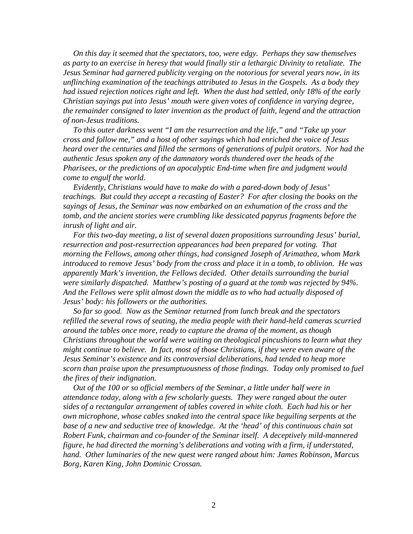*On this day it seemed that the spectators, too, were edgy. Perhaps they saw themselves as party to an exercise in heresy that would finally stir a lethargic Divinity to retaliate. The Jesus Seminar had garnered publicity verging on the notorious for several years now, in its unflinching examination of the teachings attributed to Jesus in the Gospels. As a body they had issued rejection notices right and left. When the dust had settled, only 18% of the early Christian sayings put into Jesus' mouth were given votes of confidence in varying degree, the remainder consigned to later invention as the product of faith, legend and the attraction of non-Jesus traditions.*

 *To this outer darkness went "I am the resurrection and the life," and "Take up your cross and follow me," and a host of other sayings which had enriched the voice of Jesus heard over the centuries and filled the sermons of generations of pulpit orators. Nor had the authentic Jesus spoken any of the damnatory words thundered over the heads of the Pharisees, or the predictions of an apocalyptic End-time when fire and judgment would come to engulf the world.*

 *Evidently, Christians would have to make do with a pared-down body of Jesus' teachings. But could they accept a recasting of Easter? For after closing the books on the sayings of Jesus, the Seminar was now embarked on an exhumation of the cross and the tomb, and the ancient stories were crumbling like dessicated papyrus fragments before the inrush of light and air.*

 *For this two-day meeting, a list of several dozen propositions surrounding Jesus' burial, resurrection and post-resurrection appearances had been prepared for voting. That morning the Fellows, among other things, had consigned Joseph of Arimathea, whom Mark introduced to remove Jesus' body from the cross and place it in a tomb, to oblivion. He was apparently Mark's invention, the Fellows decided. Other details surrounding the burial were similarly dispatched. Matthew's posting of a guard at the tomb was rejected by 94%. And the Fellows were split almost down the middle as to who had actually disposed of Jesus' body: his followers or the authorities.*

 *So far so good. Now as the Seminar returned from lunch break and the spectators refilled the several rows of seating, the media people with their hand-held cameras scurried around the tables once more, ready to capture the drama of the moment, as though Christians throughout the world were waiting on theological pincushions to learn what they might continue to believe. In fact, most of those Christians, if they were even aware of the Jesus Seminar's existence and its controversial deliberations, had tended to heap more scorn than praise upon the presumptuousness of those findings. Today only promised to fuel the fires of their indignation.*

 *Out of the 100 or so official members of the Seminar, a little under half were in attendance today, along with a few scholarly guests. They were ranged about the outer sides of a rectangular arrangement of tables covered in white cloth. Each had his or her own microphone, whose cables snaked into the central space like beguiling serpents at the base of a new and seductive tree of knowledge. At the 'head' of this continuous chain sat Robert Funk, chairman and co-founder of the Seminar itself. A deceptively mild-mannered figure, he had directed the morning's deliberations and voting with a firm, if understated, hand. Other luminaries of the new quest were ranged about him: James Robinson, Marcus Borg, Karen King, John Dominic Crossan.*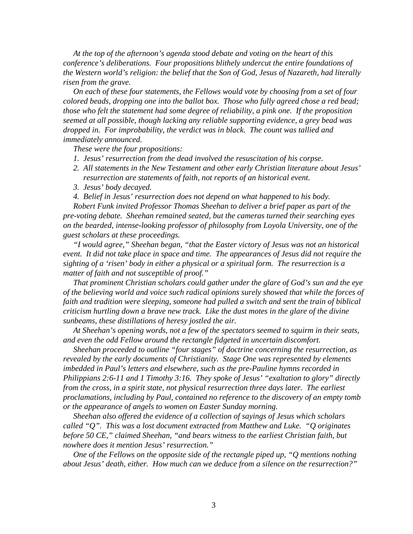*At the top of the afternoon's agenda stood debate and voting on the heart of this conference's deliberations. Four propositions blithely undercut the entire foundations of the Western world's religion: the belief that the Son of God, Jesus of Nazareth, had literally risen from the grave.*

 *On each of these four statements, the Fellows would vote by choosing from a set of four colored beads, dropping one into the ballot box. Those who fully agreed chose a red bead; those who felt the statement had some degree of reliability, a pink one. If the proposition seemed at all possible, though lacking any reliable supporting evidence, a grey bead was dropped in. For improbability, the verdict was in black. The count was tallied and immediately announced.*

 *These were the four propositions:*

- *1. Jesus' resurrection from the dead involved the resuscitation of his corpse.*
- *2. All statements in the New Testament and other early Christian literature about Jesus' resurrection are statements of faith, not reports of an historical event.*
- *3. Jesus' body decayed.*
- *4. Belief in Jesus' resurrection does not depend on what happened to his body.*

 *Robert Funk invited Professor Thomas Sheehan to deliver a brief paper as part of the pre-voting debate. Sheehan remained seated, but the cameras turned their searching eyes on the bearded, intense-looking professor of philosophy from Loyola University, one of the guest scholars at these proceedings.*

 *"I would agree," Sheehan began, "that the Easter victory of Jesus was not an historical event. It did not take place in space and time. The appearances of Jesus did not require the sighting of a 'risen' body in either a physical or a spiritual form. The resurrection is a matter of faith and not susceptible of proof."*

 *That prominent Christian scholars could gather under the glare of God's sun and the eye of the believing world and voice such radical opinions surely showed that while the forces of faith and tradition were sleeping, someone had pulled a switch and sent the train of biblical criticism hurtling down a brave new track. Like the dust motes in the glare of the divine sunbeams, these distillations of heresy jostled the air.*

 *At Sheehan's opening words, not a few of the spectators seemed to squirm in their seats, and even the odd Fellow around the rectangle fidgeted in uncertain discomfort.*

 *Sheehan proceeded to outline "four stages" of doctrine concerning the resurrection, as revealed by the early documents of Christianity. Stage One was represented by elements imbedded in Paul's letters and elsewhere, such as the pre-Pauline hymns recorded in Philippians 2:6-11 and 1 Timothy 3:16. They spoke of Jesus' "exaltation to glory" directly from the cross, in a spirit state, not physical resurrection three days later. The earliest proclamations, including by Paul, contained no reference to the discovery of an empty tomb or the appearance of angels to women on Easter Sunday morning.*

 *Sheehan also offered the evidence of a collection of sayings of Jesus which scholars called "Q". This was a lost document extracted from Matthew and Luke. "Q originates before 50 CE," claimed Sheehan, "and bears witness to the earliest Christian faith, but nowhere does it mention Jesus' resurrection."*

 *One of the Fellows on the opposite side of the rectangle piped up, "Q mentions nothing about Jesus' death, either. How much can we deduce from a silence on the resurrection?"*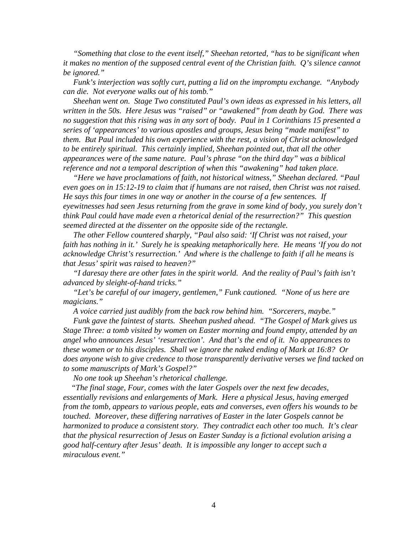*"Something that close to the event itself," Sheehan retorted, "has to be significant when it makes no mention of the supposed central event of the Christian faith. Q's silence cannot be ignored."*

 *Funk's interjection was softly curt, putting a lid on the impromptu exchange. "Anybody can die. Not everyone walks out of his tomb."*

 *Sheehan went on. Stage Two constituted Paul's own ideas as expressed in his letters, all written in the 50s. Here Jesus was "raised" or "awakened" from death by God. There was no suggestion that this rising was in any sort of body. Paul in 1 Corinthians 15 presented a series of 'appearances' to various apostles and groups, Jesus being "made manifest" to them. But Paul included his own experience with the rest, a vision of Christ acknowledged to be entirely spiritual. This certainly implied, Sheehan pointed out, that all the other appearances were of the same nature. Paul's phrase "on the third day" was a biblical reference and not a temporal description of when this "awakening" had taken place.*

 *"Here we have proclamations of faith, not historical witness," Sheehan declared. "Paul even goes on in 15:12-19 to claim that if humans are not raised, then Christ was not raised. He says this four times in one way or another in the course of a few sentences. If eyewitnesses had seen Jesus returning from the grave in some kind of body, you surely don't think Paul could have made even a rhetorical denial of the resurrection?" This question seemed directed at the dissenter on the opposite side of the rectangle.*

 *The other Fellow countered sharply, "Paul also said: 'If Christ was not raised, your faith has nothing in it.' Surely he is speaking metaphorically here. He means 'If you do not acknowledge Christ's resurrection.' And where is the challenge to faith if all he means is that Jesus' spirit was raised to heaven?"*

 *"I daresay there are other fates in the spirit world. And the reality of Paul's faith isn't advanced by sleight-of-hand tricks."*

 *"Let's be careful of our imagery, gentlemen," Funk cautioned. "None of us here are magicians."*

 *A voice carried just audibly from the back row behind him. "Sorcerers, maybe."*

 *Funk gave the faintest of starts. Sheehan pushed ahead. "The Gospel of Mark gives us Stage Three: a tomb visited by women on Easter morning and found empty, attended by an angel who announces Jesus' 'resurrection'. And that's the end of it. No appearances to these women or to his disciples. Shall we ignore the naked ending of Mark at 16:8? Or does anyone wish to give credence to those transparently derivative verses we find tacked on to some manuscripts of Mark's Gospel?"*

 *No one took up Sheehan's rhetorical challenge.*

 *"The final stage, Four, comes with the later Gospels over the next few decades, essentially revisions and enlargements of Mark. Here a physical Jesus, having emerged from the tomb, appears to various people, eats and converses, even offers his wounds to be touched. Moreover, these differing narratives of Easter in the later Gospels cannot be harmonized to produce a consistent story. They contradict each other too much. It's clear that the physical resurrection of Jesus on Easter Sunday is a fictional evolution arising a good half-century after Jesus' death. It is impossible any longer to accept such a miraculous event."*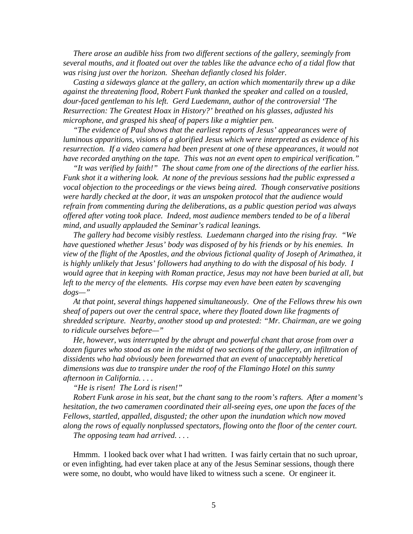*There arose an audible hiss from two different sections of the gallery, seemingly from several mouths, and it floated out over the tables like the advance echo of a tidal flow that was rising just over the horizon. Sheehan defiantly closed his folder.*

 *Casting a sideways glance at the gallery, an action which momentarily threw up a dike against the threatening flood, Robert Funk thanked the speaker and called on a tousled, dour-faced gentleman to his left. Gerd Luedemann, author of the controversial 'The Resurrection: The Greatest Hoax in History?' breathed on his glasses, adjusted his microphone, and grasped his sheaf of papers like a mightier pen.*

 *"The evidence of Paul shows that the earliest reports of Jesus' appearances were of luminous apparitions, visions of a glorified Jesus which were interpreted as evidence of his resurrection. If a video camera had been present at one of these appearances, it would not have recorded anything on the tape. This was not an event open to empirical verification."*

 *"It was verified by faith!" The shout came from one of the directions of the earlier hiss. Funk shot it a withering look. At none of the previous sessions had the public expressed a vocal objection to the proceedings or the views being aired. Though conservative positions were hardly checked at the door, it was an unspoken protocol that the audience would refrain from commenting during the deliberations, as a public question period was always offered after voting took place. Indeed, most audience members tended to be of a liberal mind, and usually applauded the Seminar's radical leanings.*

 *The gallery had become visibly restless. Luedemann charged into the rising fray. "We have questioned whether Jesus' body was disposed of by his friends or by his enemies. In view of the flight of the Apostles, and the obvious fictional quality of Joseph of Arimathea, it is highly unlikely that Jesus' followers had anything to do with the disposal of his body. I would agree that in keeping with Roman practice, Jesus may not have been buried at all, but left to the mercy of the elements. His corpse may even have been eaten by scavenging dogs—"*

 *At that point, several things happened simultaneously. One of the Fellows threw his own sheaf of papers out over the central space, where they floated down like fragments of shredded scripture. Nearby, another stood up and protested: "Mr. Chairman, are we going to ridicule ourselves before—"*

 *He, however, was interrupted by the abrupt and powerful chant that arose from over a dozen figures who stood as one in the midst of two sections of the gallery, an infiltration of dissidents who had obviously been forewarned that an event of unacceptably heretical dimensions was due to transpire under the roof of the Flamingo Hotel on this sunny afternoon in California. . . .*

 *"He is risen! The Lord is risen!"*

 *Robert Funk arose in his seat, but the chant sang to the room's rafters. After a moment's hesitation, the two cameramen coordinated their all-seeing eyes, one upon the faces of the Fellows, startled, appalled, disgusted; the other upon the inundation which now moved along the rows of equally nonplussed spectators, flowing onto the floor of the center court.*

 *The opposing team had arrived. . . .*

 Hmmm. I looked back over what I had written. I was fairly certain that no such uproar, or even infighting, had ever taken place at any of the Jesus Seminar sessions, though there were some, no doubt, who would have liked to witness such a scene. Or engineer it.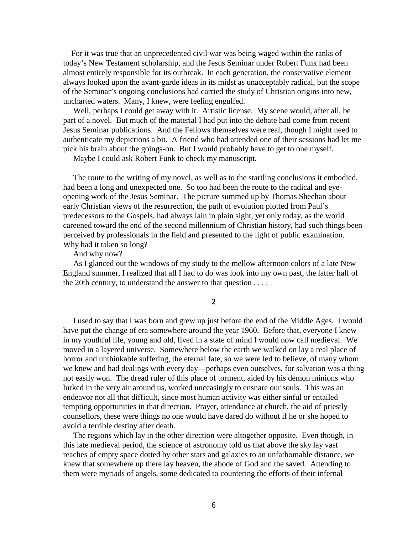For it was true that an unprecedented civil war was being waged within the ranks of today's New Testament scholarship, and the Jesus Seminar under Robert Funk had been almost entirely responsible for its outbreak. In each generation, the conservative element always looked upon the avant-garde ideas in its midst as unacceptably radical, but the scope of the Seminar's ongoing conclusions had carried the study of Christian origins into new, uncharted waters. Many, I knew, were feeling engulfed.

 Well, perhaps I could get away with it. Artistic license. My scene would, after all, be part of a novel. But much of the material I had put into the debate had come from recent Jesus Seminar publications. And the Fellows themselves were real, though I might need to authenticate my depictions a bit. A friend who had attended one of their sessions had let me pick his brain about the goings-on. But I would probably have to get to one myself.

Maybe I could ask Robert Funk to check my manuscript.

 The route to the writing of my novel, as well as to the startling conclusions it embodied, had been a long and unexpected one. So too had been the route to the radical and eyeopening work of the Jesus Seminar. The picture summed up by Thomas Sheehan about early Christian views of the resurrection, the path of evolution plotted from Paul's predecessors to the Gospels, had always lain in plain sight, yet only today, as the world careened toward the end of the second millennium of Christian history, had such things been perceived by professionals in the field and presented to the light of public examination. Why had it taken so long?

And why now?

 As I glanced out the windows of my study to the mellow afternoon colors of a late New England summer, I realized that all I had to do was look into my own past, the latter half of the 20th century, to understand the answer to that question . . . .

**2**

 I used to say that I was born and grew up just before the end of the Middle Ages. I would have put the change of era somewhere around the year 1960. Before that, everyone I knew in my youthful life, young and old, lived in a state of mind I would now call medieval. We moved in a layered universe. Somewhere below the earth we walked on lay a real place of horror and unthinkable suffering, the eternal fate, so we were led to believe, of many whom we knew and had dealings with every day—perhaps even ourselves, for salvation was a thing not easily won. The dread ruler of this place of torment, aided by his demon minions who lurked in the very air around us, worked unceasingly to ensnare our souls. This was an endeavor not all that difficult, since most human activity was either sinful or entailed tempting opportunities in that direction. Prayer, attendance at church, the aid of priestly counsellors, these were things no one would have dared do without if he or she hoped to avoid a terrible destiny after death.

 The regions which lay in the other direction were altogether opposite. Even though, in this late medieval period, the science of astronomy told us that above the sky lay vast reaches of empty space dotted by other stars and galaxies to an unfathomable distance, we knew that somewhere up there lay heaven, the abode of God and the saved. Attending to them were myriads of angels, some dedicated to countering the efforts of their infernal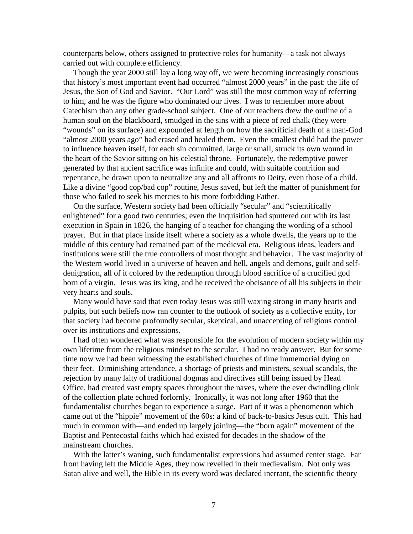counterparts below, others assigned to protective roles for humanity—a task not always carried out with complete efficiency.

 Though the year 2000 still lay a long way off, we were becoming increasingly conscious that history's most important event had occurred "almost 2000 years" in the past: the life of Jesus, the Son of God and Savior. "Our Lord" was still the most common way of referring to him, and he was the figure who dominated our lives. I was to remember more about Catechism than any other grade-school subject. One of our teachers drew the outline of a human soul on the blackboard, smudged in the sins with a piece of red chalk (they were "wounds" on its surface) and expounded at length on how the sacrificial death of a man-God "almost 2000 years ago" had erased and healed them. Even the smallest child had the power to influence heaven itself, for each sin committed, large or small, struck its own wound in the heart of the Savior sitting on his celestial throne. Fortunately, the redemptive power generated by that ancient sacrifice was infinite and could, with suitable contrition and repentance, be drawn upon to neutralize any and all affronts to Deity, even those of a child. Like a divine "good cop/bad cop" routine, Jesus saved, but left the matter of punishment for those who failed to seek his mercies to his more forbidding Father.

 On the surface, Western society had been officially "secular" and "scientifically enlightened" for a good two centuries; even the Inquisition had sputtered out with its last execution in Spain in 1826, the hanging of a teacher for changing the wording of a school prayer. But in that place inside itself where a society as a whole dwells, the years up to the middle of this century had remained part of the medieval era. Religious ideas, leaders and institutions were still the true controllers of most thought and behavior. The vast majority of the Western world lived in a universe of heaven and hell, angels and demons, guilt and selfdenigration, all of it colored by the redemption through blood sacrifice of a crucified god born of a virgin. Jesus was its king, and he received the obeisance of all his subjects in their very hearts and souls.

 Many would have said that even today Jesus was still waxing strong in many hearts and pulpits, but such beliefs now ran counter to the outlook of society as a collective entity, for that society had become profoundly secular, skeptical, and unaccepting of religious control over its institutions and expressions.

 I had often wondered what was responsible for the evolution of modern society within my own lifetime from the religious mindset to the secular. I had no ready answer. But for some time now we had been witnessing the established churches of time immemorial dying on their feet. Diminishing attendance, a shortage of priests and ministers, sexual scandals, the rejection by many laity of traditional dogmas and directives still being issued by Head Office, had created vast empty spaces throughout the naves, where the ever dwindling clink of the collection plate echoed forlornly. Ironically, it was not long after 1960 that the fundamentalist churches began to experience a surge. Part of it was a phenomenon which came out of the "hippie" movement of the 60s: a kind of back-to-basics Jesus cult. This had much in common with—and ended up largely joining—the "born again" movement of the Baptist and Pentecostal faiths which had existed for decades in the shadow of the mainstream churches.

 With the latter's waning, such fundamentalist expressions had assumed center stage. Far from having left the Middle Ages, they now revelled in their medievalism. Not only was Satan alive and well, the Bible in its every word was declared inerrant, the scientific theory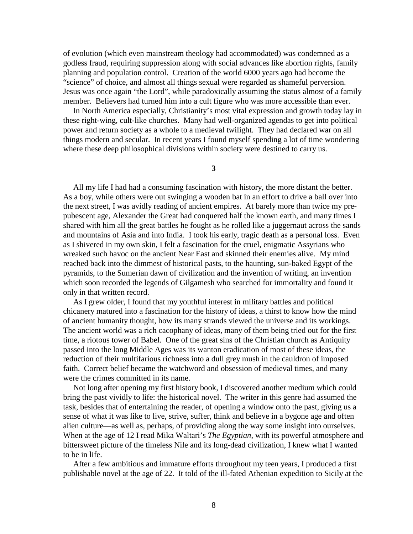of evolution (which even mainstream theology had accommodated) was condemned as a godless fraud, requiring suppression along with social advances like abortion rights, family planning and population control. Creation of the world 6000 years ago had become the "science" of choice, and almost all things sexual were regarded as shameful perversion. Jesus was once again "the Lord", while paradoxically assuming the status almost of a family member. Believers had turned him into a cult figure who was more accessible than ever.

 In North America especially, Christianity's most vital expression and growth today lay in these right-wing, cult-like churches. Many had well-organized agendas to get into political power and return society as a whole to a medieval twilight. They had declared war on all things modern and secular. In recent years I found myself spending a lot of time wondering where these deep philosophical divisions within society were destined to carry us.

**3**

 All my life I had had a consuming fascination with history, the more distant the better. As a boy, while others were out swinging a wooden bat in an effort to drive a ball over into the next street, I was avidly reading of ancient empires. At barely more than twice my prepubescent age, Alexander the Great had conquered half the known earth, and many times I shared with him all the great battles he fought as he rolled like a juggernaut across the sands and mountains of Asia and into India. I took his early, tragic death as a personal loss. Even as I shivered in my own skin, I felt a fascination for the cruel, enigmatic Assyrians who wreaked such havoc on the ancient Near East and skinned their enemies alive. My mind reached back into the dimmest of historical pasts, to the haunting, sun-baked Egypt of the pyramids, to the Sumerian dawn of civilization and the invention of writing, an invention which soon recorded the legends of Gilgamesh who searched for immortality and found it only in that written record.

 As I grew older, I found that my youthful interest in military battles and political chicanery matured into a fascination for the history of ideas, a thirst to know how the mind of ancient humanity thought, how its many strands viewed the universe and its workings. The ancient world was a rich cacophany of ideas, many of them being tried out for the first time, a riotous tower of Babel. One of the great sins of the Christian church as Antiquity passed into the long Middle Ages was its wanton eradication of most of these ideas, the reduction of their multifarious richness into a dull grey mush in the cauldron of imposed faith. Correct belief became the watchword and obsession of medieval times, and many were the crimes committed in its name.

 Not long after opening my first history book, I discovered another medium which could bring the past vividly to life: the historical novel. The writer in this genre had assumed the task, besides that of entertaining the reader, of opening a window onto the past, giving us a sense of what it was like to live, strive, suffer, think and believe in a bygone age and often alien culture—as well as, perhaps, of providing along the way some insight into ourselves. When at the age of 12 I read Mika Waltari's *The Egyptian*, with its powerful atmosphere and bittersweet picture of the timeless Nile and its long-dead civilization, I knew what I wanted to be in life.

 After a few ambitious and immature efforts throughout my teen years, I produced a first publishable novel at the age of 22. It told of the ill-fated Athenian expedition to Sicily at the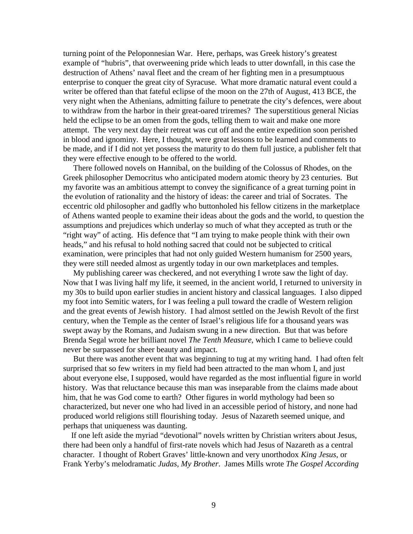turning point of the Peloponnesian War. Here, perhaps, was Greek history's greatest example of "hubris", that overweening pride which leads to utter downfall, in this case the destruction of Athens' naval fleet and the cream of her fighting men in a presumptuous enterprise to conquer the great city of Syracuse. What more dramatic natural event could a writer be offered than that fateful eclipse of the moon on the 27th of August, 413 BCE, the very night when the Athenians, admitting failure to penetrate the city's defences, were about to withdraw from the harbor in their great-oared triremes? The superstitious general Nicias held the eclipse to be an omen from the gods, telling them to wait and make one more attempt. The very next day their retreat was cut off and the entire expedition soon perished in blood and ignominy. Here, I thought, were great lessons to be learned and comments to be made, and if I did not yet possess the maturity to do them full justice, a publisher felt that they were effective enough to be offered to the world.

 There followed novels on Hannibal, on the building of the Colossus of Rhodes, on the Greek philosopher Democritus who anticipated modern atomic theory by 23 centuries. But my favorite was an ambitious attempt to convey the significance of a great turning point in the evolution of rationality and the history of ideas: the career and trial of Socrates. The eccentric old philosopher and gadfly who buttonholed his fellow citizens in the marketplace of Athens wanted people to examine their ideas about the gods and the world, to question the assumptions and prejudices which underlay so much of what they accepted as truth or the "right way" of acting. His defence that "I am trying to make people think with their own heads," and his refusal to hold nothing sacred that could not be subjected to critical examination, were principles that had not only guided Western humanism for 2500 years, they were still needed almost as urgently today in our own marketplaces and temples.

 My publishing career was checkered, and not everything I wrote saw the light of day. Now that I was living half my life, it seemed, in the ancient world, I returned to university in my 30s to build upon earlier studies in ancient history and classical languages. I also dipped my foot into Semitic waters, for I was feeling a pull toward the cradle of Western religion and the great events of Jewish history. I had almost settled on the Jewish Revolt of the first century, when the Temple as the center of Israel's religious life for a thousand years was swept away by the Romans, and Judaism swung in a new direction. But that was before Brenda Segal wrote her brilliant novel *The Tenth Measure*, which I came to believe could never be surpassed for sheer beauty and impact.

 But there was another event that was beginning to tug at my writing hand. I had often felt surprised that so few writers in my field had been attracted to the man whom I, and just about everyone else, I supposed, would have regarded as the most influential figure in world history. Was that reluctance because this man was inseparable from the claims made about him, that he was God come to earth? Other figures in world mythology had been so characterized, but never one who had lived in an accessible period of history, and none had produced world religions still flourishing today. Jesus of Nazareth seemed unique, and perhaps that uniqueness was daunting.

 If one left aside the myriad "devotional" novels written by Christian writers about Jesus, there had been only a handful of first-rate novels which had Jesus of Nazareth as a central character. I thought of Robert Graves' little-known and very unorthodox *King Jesus*, or Frank Yerby's melodramatic *Judas, My Brother*. James Mills wrote *The Gospel According*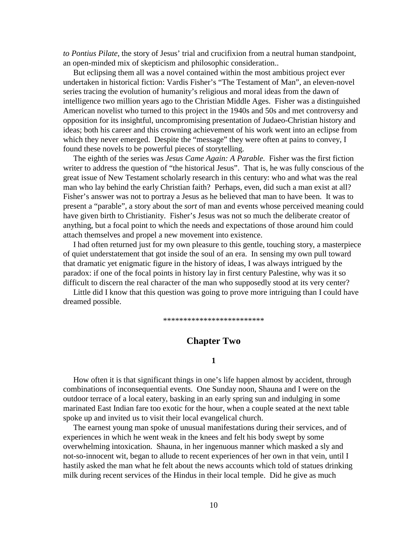*to Pontius Pilate*, the story of Jesus' trial and crucifixion from a neutral human standpoint, an open-minded mix of skepticism and philosophic consideration..

 But eclipsing them all was a novel contained within the most ambitious project ever undertaken in historical fiction: Vardis Fisher's "The Testament of Man", an eleven-novel series tracing the evolution of humanity's religious and moral ideas from the dawn of intelligence two million years ago to the Christian Middle Ages. Fisher was a distinguished American novelist who turned to this project in the 1940s and 50s and met controversy and opposition for its insightful, uncompromising presentation of Judaeo-Christian history and ideas; both his career and this crowning achievement of his work went into an eclipse from which they never emerged. Despite the "message" they were often at pains to convey, I found these novels to be powerful pieces of storytelling.

 The eighth of the series was *Jesus Came Again: A Parable*. Fisher was the first fiction writer to address the question of "the historical Jesus". That is, he was fully conscious of the great issue of New Testament scholarly research in this century: who and what was the real man who lay behind the early Christian faith? Perhaps, even, did such a man exist at all? Fisher's answer was not to portray a Jesus as he believed that man to have been. It was to present a "parable", a story about the *sort* of man and events whose perceived meaning could have given birth to Christianity. Fisher's Jesus was not so much the deliberate creator of anything, but a focal point to which the needs and expectations of those around him could attach themselves and propel a new movement into existence.

 I had often returned just for my own pleasure to this gentle, touching story, a masterpiece of quiet understatement that got inside the soul of an era. In sensing my own pull toward that dramatic yet enigmatic figure in the history of ideas, I was always intrigued by the paradox: if one of the focal points in history lay in first century Palestine, why was it so difficult to discern the real character of the man who supposedly stood at its very center?

 Little did I know that this question was going to prove more intriguing than I could have dreamed possible.

\*\*\*\*\*\*\*\*\*\*\*\*\*\*\*\*\*\*\*\*\*\*\*\*\*

# **Chapter Two**

#### **1**

 How often it is that significant things in one's life happen almost by accident, through combinations of inconsequential events. One Sunday noon, Shauna and I were on the outdoor terrace of a local eatery, basking in an early spring sun and indulging in some marinated East Indian fare too exotic for the hour, when a couple seated at the next table spoke up and invited us to visit their local evangelical church.

 The earnest young man spoke of unusual manifestations during their services, and of experiences in which he went weak in the knees and felt his body swept by some overwhelming intoxication. Shauna, in her ingenuous manner which masked a sly and not-so-innocent wit, began to allude to recent experiences of her own in that vein, until I hastily asked the man what he felt about the news accounts which told of statues drinking milk during recent services of the Hindus in their local temple. Did he give as much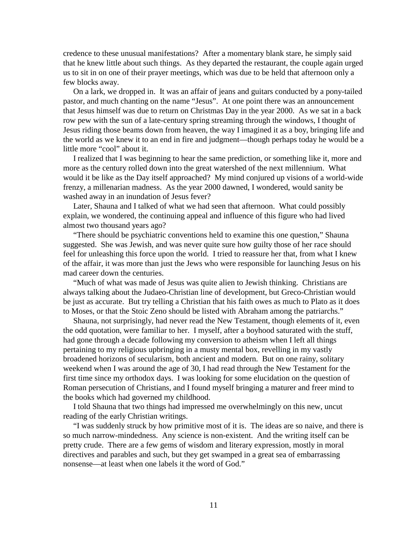credence to these unusual manifestations? After a momentary blank stare, he simply said that he knew little about such things. As they departed the restaurant, the couple again urged us to sit in on one of their prayer meetings, which was due to be held that afternoon only a few blocks away.

 On a lark, we dropped in. It was an affair of jeans and guitars conducted by a pony-tailed pastor, and much chanting on the name "Jesus". At one point there was an announcement that Jesus himself was due to return on Christmas Day in the year 2000. As we sat in a back row pew with the sun of a late-century spring streaming through the windows, I thought of Jesus riding those beams down from heaven, the way I imagined it as a boy, bringing life and the world as we knew it to an end in fire and judgment—though perhaps today he would be a little more "cool" about it.

 I realized that I was beginning to hear the same prediction, or something like it, more and more as the century rolled down into the great watershed of the next millennium. What would it be like as the Day itself approached? My mind conjured up visions of a world-wide frenzy, a millenarian madness. As the year 2000 dawned, I wondered, would sanity be washed away in an inundation of Jesus fever?

 Later, Shauna and I talked of what we had seen that afternoon. What could possibly explain, we wondered, the continuing appeal and influence of this figure who had lived almost two thousand years ago?

 "There should be psychiatric conventions held to examine this one question," Shauna suggested. She was Jewish, and was never quite sure how guilty those of her race should feel for unleashing this force upon the world. I tried to reassure her that, from what I knew of the affair, it was more than just the Jews who were responsible for launching Jesus on his mad career down the centuries.

 "Much of what was made of Jesus was quite alien to Jewish thinking. Christians are always talking about the Judaeo-Christian line of development, but Greco-Christian would be just as accurate. But try telling a Christian that his faith owes as much to Plato as it does to Moses, or that the Stoic Zeno should be listed with Abraham among the patriarchs."

 Shauna, not surprisingly, had never read the New Testament, though elements of it, even the odd quotation, were familiar to her. I myself, after a boyhood saturated with the stuff, had gone through a decade following my conversion to atheism when I left all things pertaining to my religious upbringing in a musty mental box, revelling in my vastly broadened horizons of secularism, both ancient and modern. But on one rainy, solitary weekend when I was around the age of 30, I had read through the New Testament for the first time since my orthodox days. I was looking for some elucidation on the question of Roman persecution of Christians, and I found myself bringing a maturer and freer mind to the books which had governed my childhood.

 I told Shauna that two things had impressed me overwhelmingly on this new, uncut reading of the early Christian writings.

 "I was suddenly struck by how primitive most of it is. The ideas are so naive, and there is so much narrow-mindedness. Any science is non-existent. And the writing itself can be pretty crude. There are a few gems of wisdom and literary expression, mostly in moral directives and parables and such, but they get swamped in a great sea of embarrassing nonsense—at least when one labels it the word of God."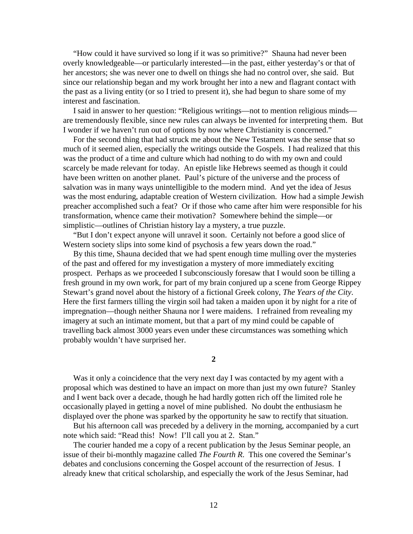"How could it have survived so long if it was so primitive?" Shauna had never been overly knowledgeable—or particularly interested—in the past, either yesterday's or that of her ancestors; she was never one to dwell on things she had no control over, she said. But since our relationship began and my work brought her into a new and flagrant contact with the past as a living entity (or so I tried to present it), she had begun to share some of my interest and fascination.

 I said in answer to her question: "Religious writings—not to mention religious minds are tremendously flexible, since new rules can always be invented for interpreting them. But I wonder if we haven't run out of options by now where Christianity is concerned."

 For the second thing that had struck me about the New Testament was the sense that so much of it seemed alien, especially the writings outside the Gospels. I had realized that this was the product of a time and culture which had nothing to do with my own and could scarcely be made relevant for today. An epistle like Hebrews seemed as though it could have been written on another planet. Paul's picture of the universe and the process of salvation was in many ways unintelligible to the modern mind. And yet the idea of Jesus was the most enduring, adaptable creation of Western civilization. How had a simple Jewish preacher accomplished such a feat? Or if those who came after him were responsible for his transformation, whence came their motivation? Somewhere behind the simple—or simplistic—outlines of Christian history lay a mystery, a true puzzle.

 "But I don't expect anyone will unravel it soon. Certainly not before a good slice of Western society slips into some kind of psychosis a few years down the road."

 By this time, Shauna decided that we had spent enough time mulling over the mysteries of the past and offered for my investigation a mystery of more immediately exciting prospect. Perhaps as we proceeded I subconsciously foresaw that I would soon be tilling a fresh ground in my own work, for part of my brain conjured up a scene from George Rippey Stewart's grand novel about the history of a fictional Greek colony, *The Years of the City*. Here the first farmers tilling the virgin soil had taken a maiden upon it by night for a rite of impregnation—though neither Shauna nor I were maidens. I refrained from revealing my imagery at such an intimate moment, but that a part of my mind could be capable of travelling back almost 3000 years even under these circumstances was something which probably wouldn't have surprised her.

**2**

 Was it only a coincidence that the very next day I was contacted by my agent with a proposal which was destined to have an impact on more than just my own future? Stanley and I went back over a decade, though he had hardly gotten rich off the limited role he occasionally played in getting a novel of mine published. No doubt the enthusiasm he displayed over the phone was sparked by the opportunity he saw to rectify that situation.

 But his afternoon call was preceded by a delivery in the morning, accompanied by a curt note which said: "Read this! Now! I'll call you at 2. Stan."

 The courier handed me a copy of a recent publication by the Jesus Seminar people, an issue of their bi-monthly magazine called *The Fourth R*. This one covered the Seminar's debates and conclusions concerning the Gospel account of the resurrection of Jesus. I already knew that critical scholarship, and especially the work of the Jesus Seminar, had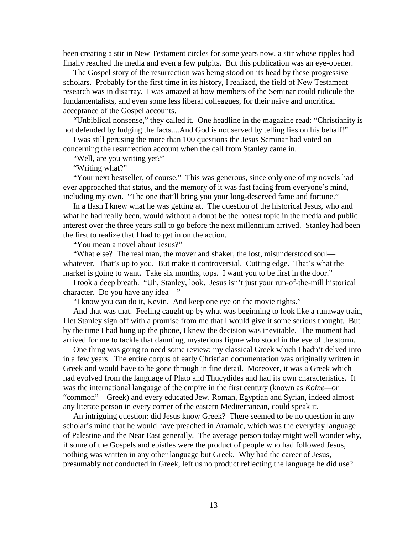been creating a stir in New Testament circles for some years now, a stir whose ripples had finally reached the media and even a few pulpits. But this publication was an eye-opener.

 The Gospel story of the resurrection was being stood on its head by these progressive scholars. Probably for the first time in its history, I realized, the field of New Testament research was in disarray. I was amazed at how members of the Seminar could ridicule the fundamentalists, and even some less liberal colleagues, for their naive and uncritical acceptance of the Gospel accounts.

 "Unbiblical nonsense," they called it. One headline in the magazine read: "Christianity is not defended by fudging the facts....And God is not served by telling lies on his behalf!"

 I was still perusing the more than 100 questions the Jesus Seminar had voted on concerning the resurrection account when the call from Stanley came in.

"Well, are you writing yet?"

"Writing what?"

 "Your next bestseller, of course." This was generous, since only one of my novels had ever approached that status, and the memory of it was fast fading from everyone's mind, including my own. "The one that'll bring you your long-deserved fame and fortune."

 In a flash I knew what he was getting at. The question of the historical Jesus, who and what he had really been, would without a doubt be the hottest topic in the media and public interest over the three years still to go before the next millennium arrived. Stanley had been the first to realize that I had to get in on the action.

"You mean a novel about Jesus?"

 "What else? The real man, the mover and shaker, the lost, misunderstood soul whatever. That's up to you. But make it controversial. Cutting edge. That's what the market is going to want. Take six months, tops. I want you to be first in the door."

 I took a deep breath. "Uh, Stanley, look. Jesus isn't just your run-of-the-mill historical character. Do you have any idea—"

"I know you can do it, Kevin. And keep one eye on the movie rights."

 And that was that. Feeling caught up by what was beginning to look like a runaway train, I let Stanley sign off with a promise from me that I would give it some serious thought. But by the time I had hung up the phone, I knew the decision was inevitable. The moment had arrived for me to tackle that daunting, mysterious figure who stood in the eye of the storm.

 One thing was going to need some review: my classical Greek which I hadn't delved into in a few years. The entire corpus of early Christian documentation was originally written in Greek and would have to be gone through in fine detail. Moreover, it was a Greek which had evolved from the language of Plato and Thucydides and had its own characteristics. It was the international language of the empire in the first century (known as *Koine—*or "common"—Greek) and every educated Jew, Roman, Egyptian and Syrian, indeed almost any literate person in every corner of the eastern Mediterranean, could speak it.

 An intriguing question: did Jesus know Greek? There seemed to be no question in any scholar's mind that he would have preached in Aramaic, which was the everyday language of Palestine and the Near East generally. The average person today might well wonder why, if some of the Gospels and epistles were the product of people who had followed Jesus, nothing was written in any other language but Greek. Why had the career of Jesus, presumably not conducted in Greek, left us no product reflecting the language he did use?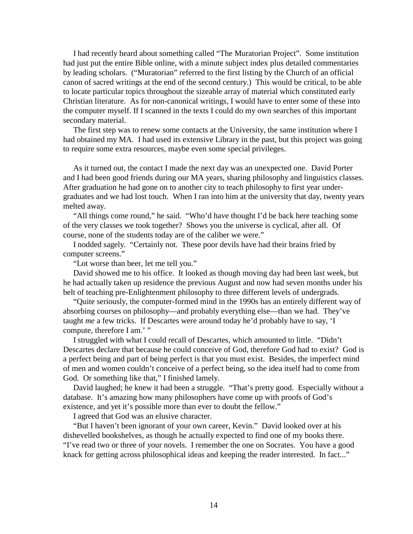I had recently heard about something called "The Muratorian Project". Some institution had just put the entire Bible online, with a minute subject index plus detailed commentaries by leading scholars. ("Muratorian" referred to the first listing by the Church of an official canon of sacred writings at the end of the second century.) This would be critical, to be able to locate particular topics throughout the sizeable array of material which constituted early Christian literature. As for non-canonical writings, I would have to enter some of these into the computer myself. If I scanned in the texts I could do my own searches of this important secondary material.

 The first step was to renew some contacts at the University, the same institution where I had obtained my MA. I had used its extensive Library in the past, but this project was going to require some extra resources, maybe even some special privileges.

 As it turned out, the contact I made the next day was an unexpected one. David Porter and I had been good friends during our MA years, sharing philosophy and linguistics classes. After graduation he had gone on to another city to teach philosophy to first year undergraduates and we had lost touch. When I ran into him at the university that day, twenty years melted away.

 "All things come round," he said. "Who'd have thought I'd be back here teaching some of the very classes we took together? Shows you the universe is cyclical, after all. Of course, none of the students today are of the caliber we were."

 I nodded sagely. "Certainly not. These poor devils have had their brains fried by computer screens."

"Lot worse than beer, let me tell you."

 David showed me to his office. It looked as though moving day had been last week, but he had actually taken up residence the previous August and now had seven months under his belt of teaching pre-Enlightenment philosophy to three different levels of undergrads.

 "Quite seriously, the computer-formed mind in the 1990s has an entirely different way of absorbing courses on philosophy—and probably everything else—than we had. They've taught *me* a few tricks. If Descartes were around today he'd probably have to say, 'I compute, therefore I am.' "

 I struggled with what I could recall of Descartes, which amounted to little. "Didn't Descartes declare that because he could conceive of God, therefore God had to exist? God is a perfect being and part of being perfect is that you must exist. Besides, the imperfect mind of men and women couldn't conceive of a perfect being, so the idea itself had to come from God. Or something like that," I finished lamely.

David laughed; he knew it had been a struggle. "That's pretty good. Especially without a database. It's amazing how many philosophers have come up with proofs of God's existence, and yet it's possible more than ever to doubt the fellow."

I agreed that God was an elusive character.

 "But I haven't been ignorant of your own career, Kevin." David looked over at his dishevelled bookshelves, as though he actually expected to find one of my books there. "I've read two or three of your novels. I remember the one on Socrates. You have a good knack for getting across philosophical ideas and keeping the reader interested. In fact..."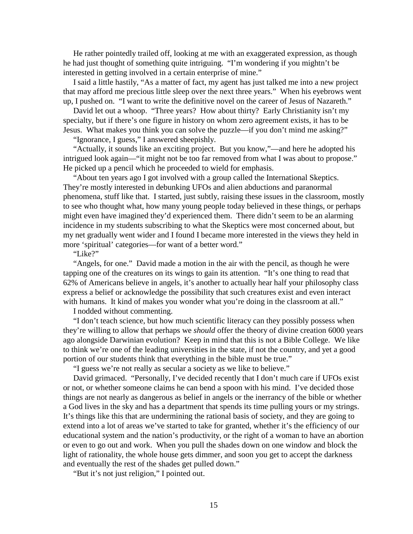He rather pointedly trailed off, looking at me with an exaggerated expression, as though he had just thought of something quite intriguing. "I'm wondering if you mightn't be interested in getting involved in a certain enterprise of mine."

I said a little hastily, "As a matter of fact, my agent has just talked me into a new project that may afford me precious little sleep over the next three years." When his eyebrows went up, I pushed on. "I want to write the definitive novel on the career of Jesus of Nazareth."

 David let out a whoop. "Three years? How about thirty? Early Christianity isn't my specialty, but if there's one figure in history on whom zero agreement exists, it has to be Jesus. What makes you think you can solve the puzzle—if you don't mind me asking?"

"Ignorance, I guess," I answered sheepishly.

 "Actually, it sounds like an exciting project. But you know,"—and here he adopted his intrigued look again—"it might not be too far removed from what I was about to propose." He picked up a pencil which he proceeded to wield for emphasis.

 "About ten years ago I got involved with a group called the International Skeptics. They're mostly interested in debunking UFOs and alien abductions and paranormal phenomena, stuff like that. I started, just subtly, raising these issues in the classroom, mostly to see who thought what, how many young people today believed in these things, or perhaps might even have imagined they'd experienced them. There didn't seem to be an alarming incidence in my students subscribing to what the Skeptics were most concerned about, but my net gradually went wider and I found I became more interested in the views they held in more 'spiritual' categories—for want of a better word."

"Like?"

 "Angels, for one." David made a motion in the air with the pencil, as though he were tapping one of the creatures on its wings to gain its attention. "It's one thing to read that 62% of Americans believe in angels, it's another to actually hear half your philosophy class express a belief or acknowledge the possibility that such creatures exist and even interact with humans. It kind of makes you wonder what you're doing in the classroom at all."

I nodded without commenting.

 "I don't teach science, but how much scientific literacy can they possibly possess when they're willing to allow that perhaps we *should* offer the theory of divine creation 6000 years ago alongside Darwinian evolution? Keep in mind that this is not a Bible College. We like to think we're one of the leading universities in the state, if not the country, and yet a good portion of our students think that everything in the bible must be true."

"I guess we're not really as secular a society as we like to believe."

 David grimaced. "Personally, I've decided recently that I don't much care if UFOs exist or not, or whether someone claims he can bend a spoon with his mind. I've decided those things are not nearly as dangerous as belief in angels or the inerrancy of the bible or whether a God lives in the sky and has a department that spends its time pulling yours or my strings. It's things like this that are undermining the rational basis of society, and they are going to extend into a lot of areas we've started to take for granted, whether it's the efficiency of our educational system and the nation's productivity, or the right of a woman to have an abortion or even to go out and work. When you pull the shades down on one window and block the light of rationality, the whole house gets dimmer, and soon you get to accept the darkness and eventually the rest of the shades get pulled down."

"But it's not just religion," I pointed out.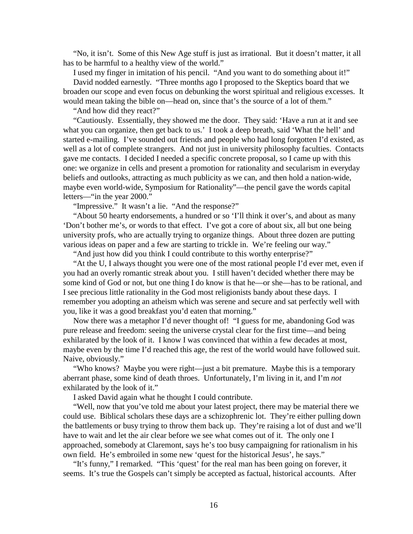"No, it isn't. Some of this New Age stuff is just as irrational. But it doesn't matter, it all has to be harmful to a healthy view of the world."

 I used my finger in imitation of his pencil. "And you want to do something about it!" David nodded earnestly. "Three months ago I proposed to the Skeptics board that we broaden our scope and even focus on debunking the worst spiritual and religious excesses. It would mean taking the bible on—head on, since that's the source of a lot of them."

"And how did they react?"

 "Cautiously. Essentially, they showed me the door. They said: 'Have a run at it and see what you can organize, then get back to us.' I took a deep breath, said 'What the hell' and started e-mailing. I've sounded out friends and people who had long forgotten I'd existed, as well as a lot of complete strangers. And not just in university philosophy faculties. Contacts gave me contacts. I decided I needed a specific concrete proposal, so I came up with this one: we organize in cells and present a promotion for rationality and secularism in everyday beliefs and outlooks, attracting as much publicity as we can, and then hold a nation-wide, maybe even world-wide, Symposium for Rationality"—the pencil gave the words capital letters—"in the year 2000."

"Impressive." It wasn't a lie. "And the response?"

 "About 50 hearty endorsements, a hundred or so 'I'll think it over's, and about as many 'Don't bother me's, or words to that effect. I've got a core of about six, all but one being university profs, who are actually trying to organize things. About three dozen are putting various ideas on paper and a few are starting to trickle in. We're feeling our way."

"And just how did you think I could contribute to this worthy enterprise?"

 "At the U, I always thought you were one of the most rational people I'd ever met, even if you had an overly romantic streak about you. I still haven't decided whether there may be some kind of God or not, but one thing I do know is that he—or she—has to be rational, and I see precious little rationality in the God most religionists bandy about these days. I remember you adopting an atheism which was serene and secure and sat perfectly well with you, like it was a good breakfast you'd eaten that morning."

 Now there was a metaphor I'd never thought of! "I guess for me, abandoning God was pure release and freedom: seeing the universe crystal clear for the first time—and being exhilarated by the look of it. I know I was convinced that within a few decades at most, maybe even by the time I'd reached this age, the rest of the world would have followed suit. Naive, obviously."

 "Who knows? Maybe you were right—just a bit premature. Maybe this is a temporary aberrant phase, some kind of death throes. Unfortunately, I'm living in it, and I'm *not* exhilarated by the look of it."

I asked David again what he thought I could contribute.

 "Well, now that you've told me about your latest project, there may be material there we could use. Biblical scholars these days are a schizophrenic lot. They're either pulling down the battlements or busy trying to throw them back up. They're raising a lot of dust and we'll have to wait and let the air clear before we see what comes out of it. The only one I approached, somebody at Claremont, says he's too busy campaigning for rationalism in his own field. He's embroiled in some new 'quest for the historical Jesus', he says."

 "It's funny," I remarked. "This 'quest' for the real man has been going on forever, it seems. It's true the Gospels can't simply be accepted as factual, historical accounts. After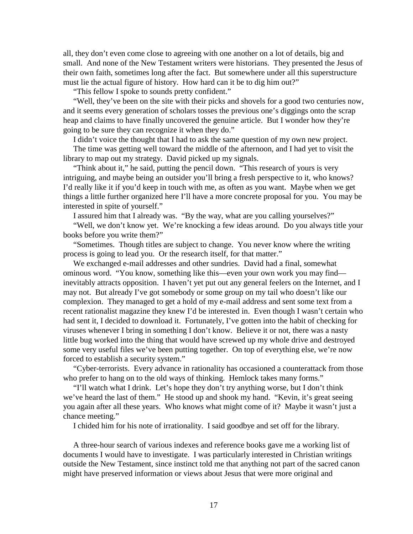all, they don't even come close to agreeing with one another on a lot of details, big and small. And none of the New Testament writers were historians. They presented the Jesus of their own faith, sometimes long after the fact. But somewhere under all this superstructure must lie the actual figure of history. How hard can it be to dig him out?"

"This fellow I spoke to sounds pretty confident."

 "Well, they've been on the site with their picks and shovels for a good two centuries now, and it seems every generation of scholars tosses the previous one's diggings onto the scrap heap and claims to have finally uncovered the genuine article. But I wonder how they're going to be sure they can recognize it when they do."

I didn't voice the thought that I had to ask the same question of my own new project.

 The time was getting well toward the middle of the afternoon, and I had yet to visit the library to map out my strategy. David picked up my signals.

 "Think about it," he said, putting the pencil down. "This research of yours is very intriguing, and maybe being an outsider you'll bring a fresh perspective to it, who knows? I'd really like it if you'd keep in touch with me, as often as you want. Maybe when we get things a little further organized here I'll have a more concrete proposal for you. You may be interested in spite of yourself."

I assured him that I already was. "By the way, what are you calling yourselves?"

 "Well, we don't know yet. We're knocking a few ideas around. Do you always title your books before you write them?"

 "Sometimes. Though titles are subject to change. You never know where the writing process is going to lead you. Or the research itself, for that matter."

 We exchanged e-mail addresses and other sundries. David had a final, somewhat ominous word. "You know, something like this—even your own work you may find inevitably attracts opposition. I haven't yet put out any general feelers on the Internet, and I may not. But already I've got somebody or some group on my tail who doesn't like our complexion. They managed to get a hold of my e-mail address and sent some text from a recent rationalist magazine they knew I'd be interested in. Even though I wasn't certain who had sent it, I decided to download it. Fortunately, I've gotten into the habit of checking for viruses whenever I bring in something I don't know. Believe it or not, there was a nasty little bug worked into the thing that would have screwed up my whole drive and destroyed some very useful files we've been putting together. On top of everything else, we're now forced to establish a security system."

 "Cyber-terrorists. Every advance in rationality has occasioned a counterattack from those who prefer to hang on to the old ways of thinking. Hemlock takes many forms."

 "I'll watch what I drink. Let's hope they don't try anything worse, but I don't think we've heard the last of them." He stood up and shook my hand. "Kevin, it's great seeing you again after all these years. Who knows what might come of it? Maybe it wasn't just a chance meeting."

I chided him for his note of irrationality. I said goodbye and set off for the library.

 A three-hour search of various indexes and reference books gave me a working list of documents I would have to investigate. I was particularly interested in Christian writings outside the New Testament, since instinct told me that anything not part of the sacred canon might have preserved information or views about Jesus that were more original and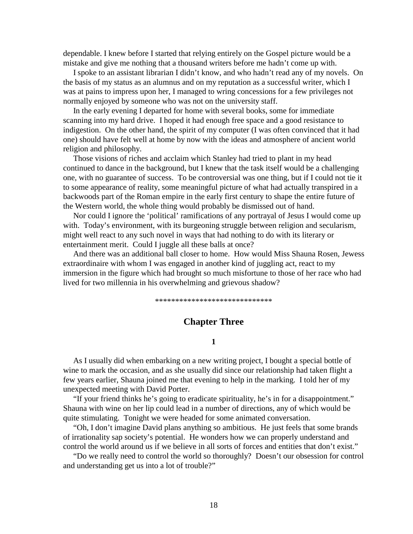dependable. I knew before I started that relying entirely on the Gospel picture would be a mistake and give me nothing that a thousand writers before me hadn't come up with.

 I spoke to an assistant librarian I didn't know, and who hadn't read any of my novels. On the basis of my status as an alumnus and on my reputation as a successful writer, which I was at pains to impress upon her, I managed to wring concessions for a few privileges not normally enjoyed by someone who was not on the university staff.

 In the early evening I departed for home with several books, some for immediate scanning into my hard drive. I hoped it had enough free space and a good resistance to indigestion. On the other hand, the spirit of my computer (I was often convinced that it had one) should have felt well at home by now with the ideas and atmosphere of ancient world religion and philosophy.

 Those visions of riches and acclaim which Stanley had tried to plant in my head continued to dance in the background, but I knew that the task itself would be a challenging one, with no guarantee of success. To be controversial was one thing, but if I could not tie it to some appearance of reality, some meaningful picture of what had actually transpired in a backwoods part of the Roman empire in the early first century to shape the entire future of the Western world, the whole thing would probably be dismissed out of hand.

 Nor could I ignore the 'political' ramifications of any portrayal of Jesus I would come up with. Today's environment, with its burgeoning struggle between religion and secularism, might well react to any such novel in ways that had nothing to do with its literary or entertainment merit. Could I juggle all these balls at once?

 And there was an additional ball closer to home. How would Miss Shauna Rosen, Jewess extraordinaire with whom I was engaged in another kind of juggling act, react to my immersion in the figure which had brought so much misfortune to those of her race who had lived for two millennia in his overwhelming and grievous shadow?

\*\*\*\*\*\*\*\*\*\*\*\*\*\*\*\*\*\*\*\*\*\*\*\*\*\*\*\*\*

### **Chapter Three**

### **1**

 As I usually did when embarking on a new writing project, I bought a special bottle of wine to mark the occasion, and as she usually did since our relationship had taken flight a few years earlier, Shauna joined me that evening to help in the marking. I told her of my unexpected meeting with David Porter.

 "If your friend thinks he's going to eradicate spirituality, he's in for a disappointment." Shauna with wine on her lip could lead in a number of directions, any of which would be quite stimulating. Tonight we were headed for some animated conversation.

 "Oh, I don't imagine David plans anything so ambitious. He just feels that some brands of irrationality sap society's potential. He wonders how we can properly understand and control the world around us if we believe in all sorts of forces and entities that don't exist."

 "Do we really need to control the world so thoroughly? Doesn't our obsession for control and understanding get us into a lot of trouble?"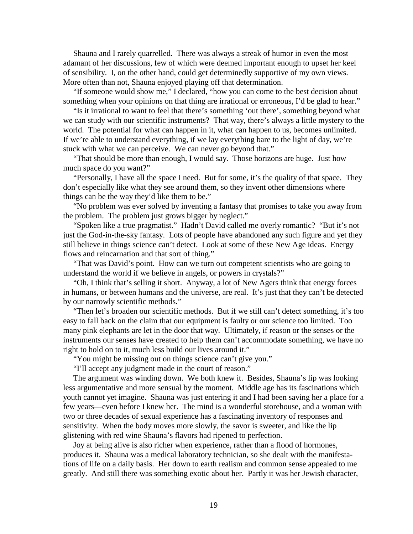Shauna and I rarely quarrelled. There was always a streak of humor in even the most adamant of her discussions, few of which were deemed important enough to upset her keel of sensibility. I, on the other hand, could get determinedly supportive of my own views. More often than not, Shauna enjoyed playing off that determination.

 "If someone would show me," I declared, "how you can come to the best decision about something when your opinions on that thing are irrational or erroneous, I'd be glad to hear."

 "Is it irrational to want to feel that there's something 'out there', something beyond what we can study with our scientific instruments? That way, there's always a little mystery to the world. The potential for what can happen in it, what can happen to us, becomes unlimited. If we're able to understand everything, if we lay everything bare to the light of day, we're stuck with what we can perceive. We can never go beyond that."

 "That should be more than enough, I would say. Those horizons are huge. Just how much space do you want?"

 "Personally, I have all the space I need. But for some, it's the quality of that space. They don't especially like what they see around them, so they invent other dimensions where things can be the way they'd like them to be."

 "No problem was ever solved by inventing a fantasy that promises to take you away from the problem. The problem just grows bigger by neglect."

 "Spoken like a true pragmatist." Hadn't David called me overly romantic? "But it's not just the God-in-the-sky fantasy. Lots of people have abandoned any such figure and yet they still believe in things science can't detect. Look at some of these New Age ideas. Energy flows and reincarnation and that sort of thing."

 "That was David's point. How can we turn out competent scientists who are going to understand the world if we believe in angels, or powers in crystals?"

 "Oh, I think that's selling it short. Anyway, a lot of New Agers think that energy forces in humans, or between humans and the universe, are real. It's just that they can't be detected by our narrowly scientific methods."

 "Then let's broaden our scientific methods. But if we still can't detect something, it's too easy to fall back on the claim that our equipment is faulty or our science too limited. Too many pink elephants are let in the door that way. Ultimately, if reason or the senses or the instruments our senses have created to help them can't accommodate something, we have no right to hold on to it, much less build our lives around it."

"You might be missing out on things science can't give you."

"I'll accept any judgment made in the court of reason."

 The argument was winding down. We both knew it. Besides, Shauna's lip was looking less argumentative and more sensual by the moment. Middle age has its fascinations which youth cannot yet imagine. Shauna was just entering it and I had been saving her a place for a few years—even before I knew her. The mind is a wonderful storehouse, and a woman with two or three decades of sexual experience has a fascinating inventory of responses and sensitivity. When the body moves more slowly, the savor is sweeter, and like the lip glistening with red wine Shauna's flavors had ripened to perfection.

 Joy at being alive is also richer when experience, rather than a flood of hormones, produces it. Shauna was a medical laboratory technician, so she dealt with the manifestations of life on a daily basis. Her down to earth realism and common sense appealed to me greatly. And still there was something exotic about her. Partly it was her Jewish character,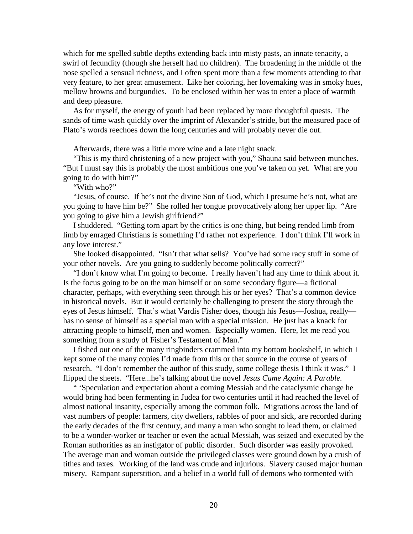which for me spelled subtle depths extending back into misty pasts, an innate tenacity, a swirl of fecundity (though she herself had no children). The broadening in the middle of the nose spelled a sensual richness, and I often spent more than a few moments attending to that very feature, to her great amusement. Like her coloring, her lovemaking was in smoky hues, mellow browns and burgundies. To be enclosed within her was to enter a place of warmth and deep pleasure.

 As for myself, the energy of youth had been replaced by more thoughtful quests. The sands of time wash quickly over the imprint of Alexander's stride, but the measured pace of Plato's words reechoes down the long centuries and will probably never die out.

Afterwards, there was a little more wine and a late night snack.

 "This is my third christening of a new project with you," Shauna said between munches. "But I must say this is probably the most ambitious one you've taken on yet. What are you going to do with him?"

"With who?"

 "Jesus, of course. If he's not the divine Son of God, which I presume he's not, what are you going to have him be?" She rolled her tongue provocatively along her upper lip. "Are you going to give him a Jewish girlfriend?"

 I shuddered. "Getting torn apart by the critics is one thing, but being rended limb from limb by enraged Christians is something I'd rather not experience. I don't think I'll work in any love interest."

 She looked disappointed. "Isn't that what sells? You've had some racy stuff in some of your other novels. Are you going to suddenly become politically correct?"

 "I don't know what I'm going to become. I really haven't had any time to think about it. Is the focus going to be on the man himself or on some secondary figure—a fictional character, perhaps, with everything seen through his or her eyes? That's a common device in historical novels. But it would certainly be challenging to present the story through the eyes of Jesus himself. That's what Vardis Fisher does, though his Jesus—Joshua, really has no sense of himself as a special man with a special mission. He just has a knack for attracting people to himself, men and women. Especially women. Here, let me read you something from a study of Fisher's Testament of Man."

 I fished out one of the many ringbinders crammed into my bottom bookshelf, in which I kept some of the many copies I'd made from this or that source in the course of years of research. "I don't remember the author of this study, some college thesis I think it was." I flipped the sheets. "Here...he's talking about the novel *Jesus Came Again: A Parable.*

 " 'Speculation and expectation about a coming Messiah and the cataclysmic change he would bring had been fermenting in Judea for two centuries until it had reached the level of almost national insanity, especially among the common folk. Migrations across the land of vast numbers of people: farmers, city dwellers, rabbles of poor and sick, are recorded during the early decades of the first century, and many a man who sought to lead them, or claimed to be a wonder-worker or teacher or even the actual Messiah, was seized and executed by the Roman authorities as an instigator of public disorder. Such disorder was easily provoked. The average man and woman outside the privileged classes were ground down by a crush of tithes and taxes. Working of the land was crude and injurious. Slavery caused major human misery. Rampant superstition, and a belief in a world full of demons who tormented with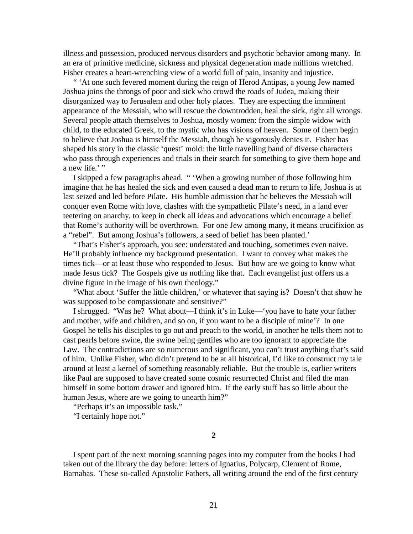illness and possession, produced nervous disorders and psychotic behavior among many. In an era of primitive medicine, sickness and physical degeneration made millions wretched. Fisher creates a heart-wrenching view of a world full of pain, insanity and injustice.

 " 'At one such fevered moment during the reign of Herod Antipas, a young Jew named Joshua joins the throngs of poor and sick who crowd the roads of Judea, making their disorganized way to Jerusalem and other holy places. They are expecting the imminent appearance of the Messiah, who will rescue the downtrodden, heal the sick, right all wrongs. Several people attach themselves to Joshua, mostly women: from the simple widow with child, to the educated Greek, to the mystic who has visions of heaven. Some of them begin to believe that Joshua is himself the Messiah, though he vigorously denies it. Fisher has shaped his story in the classic 'quest' mold: the little travelling band of diverse characters who pass through experiences and trials in their search for something to give them hope and a new life.'"

 I skipped a few paragraphs ahead. " 'When a growing number of those following him imagine that he has healed the sick and even caused a dead man to return to life, Joshua is at last seized and led before Pilate. His humble admission that he believes the Messiah will conquer even Rome with love, clashes with the sympathetic Pilate's need, in a land ever teetering on anarchy, to keep in check all ideas and advocations which encourage a belief that Rome's authority will be overthrown. For one Jew among many, it means crucifixion as a "rebel". But among Joshua's followers, a seed of belief has been planted.'

"That's Fisher's approach, you see: understated and touching, sometimes even naive. He'll probably influence my background presentation. I want to convey what makes the times tick—or at least those who responded to Jesus. But how are we going to know what made Jesus tick? The Gospels give us nothing like that. Each evangelist just offers us a divine figure in the image of his own theology."

 "What about 'Suffer the little children,' or whatever that saying is? Doesn't that show he was supposed to be compassionate and sensitive?"

 I shrugged. "Was he? What about—I think it's in Luke—'you have to hate your father and mother, wife and children, and so on, if you want to be a disciple of mine'? In one Gospel he tells his disciples to go out and preach to the world, in another he tells them not to cast pearls before swine, the swine being gentiles who are too ignorant to appreciate the Law. The contradictions are so numerous and significant, you can't trust anything that's said of him. Unlike Fisher, who didn't pretend to be at all historical, I'd like to construct my tale around at least a kernel of something reasonably reliable. But the trouble is, earlier writers like Paul are supposed to have created some cosmic resurrected Christ and filed the man himself in some bottom drawer and ignored him. If the early stuff has so little about the human Jesus, where are we going to unearth him?"

"Perhaps it's an impossible task."

"I certainly hope not."

**2**

 I spent part of the next morning scanning pages into my computer from the books I had taken out of the library the day before: letters of Ignatius, Polycarp, Clement of Rome, Barnabas. These so-called Apostolic Fathers, all writing around the end of the first century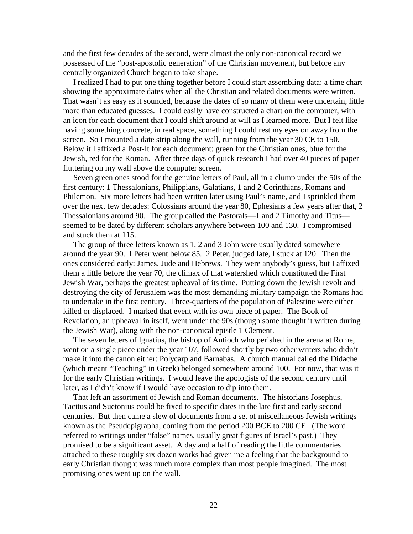and the first few decades of the second, were almost the only non-canonical record we possessed of the "post-apostolic generation" of the Christian movement, but before any centrally organized Church began to take shape.

 I realized I had to put one thing together before I could start assembling data: a time chart showing the approximate dates when all the Christian and related documents were written. That wasn't as easy as it sounded, because the dates of so many of them were uncertain, little more than educated guesses. I could easily have constructed a chart on the computer, with an icon for each document that I could shift around at will as I learned more. But I felt like having something concrete, in real space, something I could rest my eyes on away from the screen. So I mounted a date strip along the wall, running from the year 30 CE to 150. Below it I affixed a Post-It for each document: green for the Christian ones, blue for the Jewish, red for the Roman. After three days of quick research I had over 40 pieces of paper fluttering on my wall above the computer screen.

 Seven green ones stood for the genuine letters of Paul, all in a clump under the 50s of the first century: 1 Thessalonians, Philippians, Galatians, 1 and 2 Corinthians, Romans and Philemon. Six more letters had been written later using Paul's name, and I sprinkled them over the next few decades: Colossians around the year 80, Ephesians a few years after that, 2 Thessalonians around 90. The group called the Pastorals—1 and 2 Timothy and Titus seemed to be dated by different scholars anywhere between 100 and 130. I compromised and stuck them at 115.

 The group of three letters known as 1, 2 and 3 John were usually dated somewhere around the year 90. I Peter went below 85. 2 Peter, judged late, I stuck at 120. Then the ones considered early: James, Jude and Hebrews. They were anybody's guess, but I affixed them a little before the year 70, the climax of that watershed which constituted the First Jewish War, perhaps the greatest upheaval of its time. Putting down the Jewish revolt and destroying the city of Jerusalem was the most demanding military campaign the Romans had to undertake in the first century. Three-quarters of the population of Palestine were either killed or displaced. I marked that event with its own piece of paper. The Book of Revelation, an upheaval in itself, went under the 90s (though some thought it written during the Jewish War), along with the non-canonical epistle 1 Clement.

 The seven letters of Ignatius, the bishop of Antioch who perished in the arena at Rome, went on a single piece under the year 107, followed shortly by two other writers who didn't make it into the canon either: Polycarp and Barnabas. A church manual called the Didache (which meant "Teaching" in Greek) belonged somewhere around 100. For now, that was it for the early Christian writings. I would leave the apologists of the second century until later, as I didn't know if I would have occasion to dip into them.

 That left an assortment of Jewish and Roman documents. The historians Josephus, Tacitus and Suetonius could be fixed to specific dates in the late first and early second centuries. But then came a slew of documents from a set of miscellaneous Jewish writings known as the Pseudepigrapha, coming from the period 200 BCE to 200 CE. (The word referred to writings under "false" names, usually great figures of Israel's past.) They promised to be a significant asset. A day and a half of reading the little commentaries attached to these roughly six dozen works had given me a feeling that the background to early Christian thought was much more complex than most people imagined. The most promising ones went up on the wall.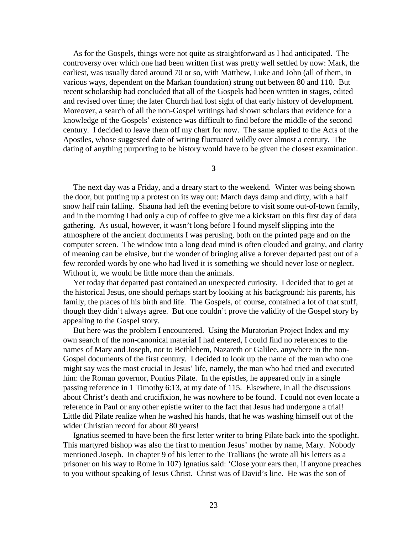As for the Gospels, things were not quite as straightforward as I had anticipated. The controversy over which one had been written first was pretty well settled by now: Mark, the earliest, was usually dated around 70 or so, with Matthew, Luke and John (all of them, in various ways, dependent on the Markan foundation) strung out between 80 and 110. But recent scholarship had concluded that all of the Gospels had been written in stages, edited and revised over time; the later Church had lost sight of that early history of development. Moreover, a search of all the non-Gospel writings had shown scholars that evidence for a knowledge of the Gospels' existence was difficult to find before the middle of the second century. I decided to leave them off my chart for now. The same applied to the Acts of the Apostles, whose suggested date of writing fluctuated wildly over almost a century. The dating of anything purporting to be history would have to be given the closest examination.

**3**

 The next day was a Friday, and a dreary start to the weekend. Winter was being shown the door, but putting up a protest on its way out: March days damp and dirty, with a half snow half rain falling. Shauna had left the evening before to visit some out-of-town family, and in the morning I had only a cup of coffee to give me a kickstart on this first day of data gathering. As usual, however, it wasn't long before I found myself slipping into the atmosphere of the ancient documents I was perusing, both on the printed page and on the computer screen. The window into a long dead mind is often clouded and grainy, and clarity of meaning can be elusive, but the wonder of bringing alive a forever departed past out of a few recorded words by one who had lived it is something we should never lose or neglect. Without it, we would be little more than the animals.

 Yet today that departed past contained an unexpected curiosity. I decided that to get at the historical Jesus, one should perhaps start by looking at his background: his parents, his family, the places of his birth and life. The Gospels, of course, contained a lot of that stuff, though they didn't always agree. But one couldn't prove the validity of the Gospel story by appealing to the Gospel story.

 But here was the problem I encountered. Using the Muratorian Project Index and my own search of the non-canonical material I had entered, I could find no references to the names of Mary and Joseph, nor to Bethlehem, Nazareth or Galilee, anywhere in the non-Gospel documents of the first century. I decided to look up the name of the man who one might say was the most crucial in Jesus' life, namely, the man who had tried and executed him: the Roman governor, Pontius Pilate. In the epistles, he appeared only in a single passing reference in 1 Timothy 6:13, at my date of 115. Elsewhere, in all the discussions about Christ's death and crucifixion, he was nowhere to be found. I could not even locate a reference in Paul or any other epistle writer to the fact that Jesus had undergone a trial! Little did Pilate realize when he washed his hands, that he was washing himself out of the wider Christian record for about 80 years!

 Ignatius seemed to have been the first letter writer to bring Pilate back into the spotlight. This martyred bishop was also the first to mention Jesus' mother by name, Mary. Nobody mentioned Joseph. In chapter 9 of his letter to the Trallians (he wrote all his letters as a prisoner on his way to Rome in 107) Ignatius said: 'Close your ears then, if anyone preaches to you without speaking of Jesus Christ. Christ was of David's line. He was the son of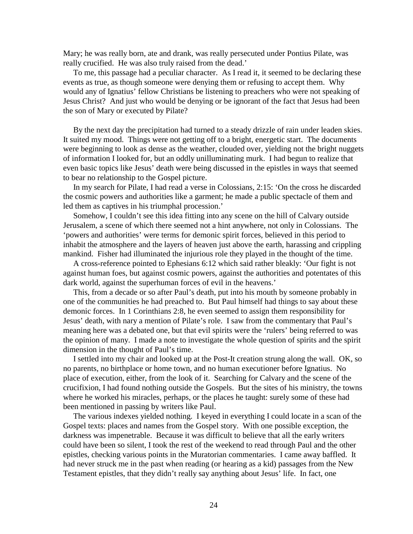Mary; he was really born, ate and drank, was really persecuted under Pontius Pilate, was really crucified. He was also truly raised from the dead.'

 To me, this passage had a peculiar character. As I read it, it seemed to be declaring these events as true, as though someone were denying them or refusing to accept them. Why would any of Ignatius' fellow Christians be listening to preachers who were not speaking of Jesus Christ? And just who would be denying or be ignorant of the fact that Jesus had been the son of Mary or executed by Pilate?

 By the next day the precipitation had turned to a steady drizzle of rain under leaden skies. It suited my mood. Things were not getting off to a bright, energetic start. The documents were beginning to look as dense as the weather, clouded over, yielding not the bright nuggets of information I looked for, but an oddly unilluminating murk. I had begun to realize that even basic topics like Jesus' death were being discussed in the epistles in ways that seemed to bear no relationship to the Gospel picture.

 In my search for Pilate, I had read a verse in Colossians, 2:15: 'On the cross he discarded the cosmic powers and authorities like a garment; he made a public spectacle of them and led them as captives in his triumphal procession.'

 Somehow, I couldn't see this idea fitting into any scene on the hill of Calvary outside Jerusalem, a scene of which there seemed not a hint anywhere, not only in Colossians. The 'powers and authorities' were terms for demonic spirit forces, believed in this period to inhabit the atmosphere and the layers of heaven just above the earth, harassing and crippling mankind. Fisher had illuminated the injurious role they played in the thought of the time.

 A cross-reference pointed to Ephesians 6:12 which said rather bleakly: 'Our fight is not against human foes, but against cosmic powers, against the authorities and potentates of this dark world, against the superhuman forces of evil in the heavens.'

 This, from a decade or so after Paul's death, put into his mouth by someone probably in one of the communities he had preached to. But Paul himself had things to say about these demonic forces. In 1 Corinthians 2:8, he even seemed to assign them responsibility for Jesus' death, with nary a mention of Pilate's role. I saw from the commentary that Paul's meaning here was a debated one, but that evil spirits were the 'rulers' being referred to was the opinion of many. I made a note to investigate the whole question of spirits and the spirit dimension in the thought of Paul's time.

 I settled into my chair and looked up at the Post-It creation strung along the wall. OK, so no parents, no birthplace or home town, and no human executioner before Ignatius. No place of execution, either, from the look of it. Searching for Calvary and the scene of the crucifixion, I had found nothing outside the Gospels. But the sites of his ministry, the towns where he worked his miracles, perhaps, or the places he taught: surely some of these had been mentioned in passing by writers like Paul.

 The various indexes yielded nothing. I keyed in everything I could locate in a scan of the Gospel texts: places and names from the Gospel story. With one possible exception, the darkness was impenetrable. Because it was difficult to believe that all the early writers could have been so silent, I took the rest of the weekend to read through Paul and the other epistles, checking various points in the Muratorian commentaries. I came away baffled. It had never struck me in the past when reading (or hearing as a kid) passages from the New Testament epistles, that they didn't really say anything about Jesus' life. In fact, one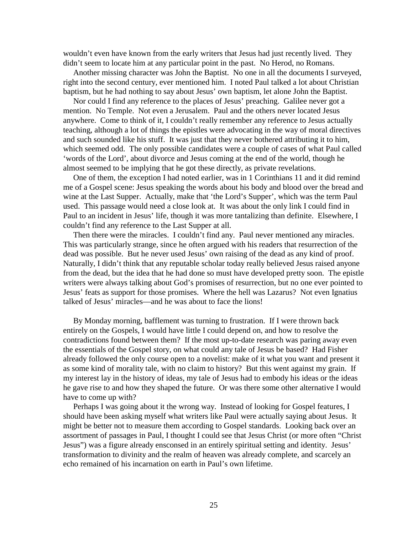wouldn't even have known from the early writers that Jesus had just recently lived. They didn't seem to locate him at any particular point in the past. No Herod, no Romans.

 Another missing character was John the Baptist. No one in all the documents I surveyed, right into the second century, ever mentioned him. I noted Paul talked a lot about Christian baptism, but he had nothing to say about Jesus' own baptism, let alone John the Baptist.

 Nor could I find any reference to the places of Jesus' preaching. Galilee never got a mention. No Temple. Not even a Jerusalem. Paul and the others never located Jesus anywhere. Come to think of it, I couldn't really remember any reference to Jesus actually teaching, although a lot of things the epistles were advocating in the way of moral directives and such sounded like his stuff. It was just that they never bothered attributing it to him, which seemed odd. The only possible candidates were a couple of cases of what Paul called 'words of the Lord', about divorce and Jesus coming at the end of the world, though he almost seemed to be implying that he got these directly, as private revelations.

 One of them, the exception I had noted earlier, was in 1 Corinthians 11 and it did remind me of a Gospel scene: Jesus speaking the words about his body and blood over the bread and wine at the Last Supper. Actually, make that 'the Lord's Supper', which was the term Paul used. This passage would need a close look at. It was about the only link I could find in Paul to an incident in Jesus' life, though it was more tantalizing than definite. Elsewhere, I couldn't find any reference to the Last Supper at all.

 Then there were the miracles. I couldn't find any. Paul never mentioned any miracles. This was particularly strange, since he often argued with his readers that resurrection of the dead was possible. But he never used Jesus' own raising of the dead as any kind of proof. Naturally, I didn't think that any reputable scholar today really believed Jesus raised anyone from the dead, but the idea that he had done so must have developed pretty soon. The epistle writers were always talking about God's promises of resurrection, but no one ever pointed to Jesus' feats as support for those promises. Where the hell was Lazarus? Not even Ignatius talked of Jesus' miracles—and he was about to face the lions!

 By Monday morning, bafflement was turning to frustration. If I were thrown back entirely on the Gospels, I would have little I could depend on, and how to resolve the contradictions found between them? If the most up-to-date research was paring away even the essentials of the Gospel story, on what could any tale of Jesus be based? Had Fisher already followed the only course open to a novelist: make of it what you want and present it as some kind of morality tale, with no claim to history? But this went against my grain. If my interest lay in the history of ideas, my tale of Jesus had to embody his ideas or the ideas he gave rise to and how they shaped the future. Or was there some other alternative I would have to come up with?

 Perhaps I was going about it the wrong way. Instead of looking for Gospel features, I should have been asking myself what writers like Paul were actually saying about Jesus. It might be better not to measure them according to Gospel standards. Looking back over an assortment of passages in Paul, I thought I could see that Jesus Christ (or more often "Christ Jesus") was a figure already ensconsed in an entirely spiritual setting and identity. Jesus' transformation to divinity and the realm of heaven was already complete, and scarcely an echo remained of his incarnation on earth in Paul's own lifetime.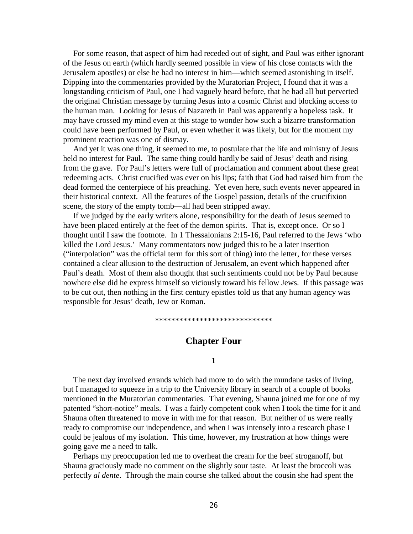For some reason, that aspect of him had receded out of sight, and Paul was either ignorant of the Jesus on earth (which hardly seemed possible in view of his close contacts with the Jerusalem apostles) or else he had no interest in him—which seemed astonishing in itself. Dipping into the commentaries provided by the Muratorian Project, I found that it was a longstanding criticism of Paul, one I had vaguely heard before, that he had all but perverted the original Christian message by turning Jesus into a cosmic Christ and blocking access to the human man. Looking for Jesus of Nazareth in Paul was apparently a hopeless task. It may have crossed my mind even at this stage to wonder how such a bizarre transformation could have been performed by Paul, or even whether it was likely, but for the moment my prominent reaction was one of dismay.

 And yet it was one thing, it seemed to me, to postulate that the life and ministry of Jesus held no interest for Paul. The same thing could hardly be said of Jesus' death and rising from the grave. For Paul's letters were full of proclamation and comment about these great redeeming acts. Christ crucified was ever on his lips; faith that God had raised him from the dead formed the centerpiece of his preaching. Yet even here, such events never appeared in their historical context. All the features of the Gospel passion, details of the crucifixion scene, the story of the empty tomb—all had been stripped away.

 If we judged by the early writers alone, responsibility for the death of Jesus seemed to have been placed entirely at the feet of the demon spirits. That is, except once. Or so I thought until I saw the footnote. In 1 Thessalonians 2:15-16, Paul referred to the Jews 'who killed the Lord Jesus.' Many commentators now judged this to be a later insertion ("interpolation" was the official term for this sort of thing) into the letter, for these verses contained a clear allusion to the destruction of Jerusalem, an event which happened after Paul's death. Most of them also thought that such sentiments could not be by Paul because nowhere else did he express himself so viciously toward his fellow Jews. If this passage was to be cut out, then nothing in the first century epistles told us that any human agency was responsible for Jesus' death, Jew or Roman.

\*\*\*\*\*\*\*\*\*\*\*\*\*\*\*\*\*\*\*\*\*\*\*\*\*\*\*\*\*

# **Chapter Four**

#### **1**

 The next day involved errands which had more to do with the mundane tasks of living, but I managed to squeeze in a trip to the University library in search of a couple of books mentioned in the Muratorian commentaries. That evening, Shauna joined me for one of my patented "short-notice" meals. I was a fairly competent cook when I took the time for it and Shauna often threatened to move in with me for that reason. But neither of us were really ready to compromise our independence, and when I was intensely into a research phase I could be jealous of my isolation. This time, however, my frustration at how things were going gave me a need to talk.

 Perhaps my preoccupation led me to overheat the cream for the beef stroganoff, but Shauna graciously made no comment on the slightly sour taste. At least the broccoli was perfectly *al dente*. Through the main course she talked about the cousin she had spent the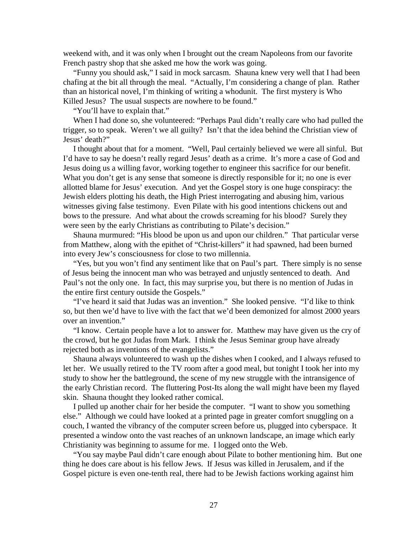weekend with, and it was only when I brought out the cream Napoleons from our favorite French pastry shop that she asked me how the work was going.

 "Funny you should ask," I said in mock sarcasm. Shauna knew very well that I had been chafing at the bit all through the meal. "Actually, I'm considering a change of plan. Rather than an historical novel, I'm thinking of writing a whodunit. The first mystery is Who Killed Jesus? The usual suspects are nowhere to be found."

"You'll have to explain that."

 When I had done so, she volunteered: "Perhaps Paul didn't really care who had pulled the trigger, so to speak. Weren't we all guilty? Isn't that the idea behind the Christian view of Jesus' death?"

 I thought about that for a moment. "Well, Paul certainly believed we were all sinful. But I'd have to say he doesn't really regard Jesus' death as a crime. It's more a case of God and Jesus doing us a willing favor, working together to engineer this sacrifice for our benefit. What you don't get is any sense that someone is directly responsible for it; no one is ever allotted blame for Jesus' execution. And yet the Gospel story is one huge conspiracy: the Jewish elders plotting his death, the High Priest interrogating and abusing him, various witnesses giving false testimony. Even Pilate with his good intentions chickens out and bows to the pressure. And what about the crowds screaming for his blood? Surely they were seen by the early Christians as contributing to Pilate's decision."

 Shauna murmured: "His blood be upon us and upon our children." That particular verse from Matthew, along with the epithet of "Christ-killers" it had spawned, had been burned into every Jew's consciousness for close to two millennia.

 "Yes, but you won't find any sentiment like that on Paul's part. There simply is no sense of Jesus being the innocent man who was betrayed and unjustly sentenced to death. And Paul's not the only one. In fact, this may surprise you, but there is no mention of Judas in the entire first century outside the Gospels."

 "I've heard it said that Judas was an invention." She looked pensive. "I'd like to think so, but then we'd have to live with the fact that we'd been demonized for almost 2000 years over an invention."

 "I know. Certain people have a lot to answer for. Matthew may have given us the cry of the crowd, but he got Judas from Mark. I think the Jesus Seminar group have already rejected both as inventions of the evangelists."

 Shauna always volunteered to wash up the dishes when I cooked, and I always refused to let her. We usually retired to the TV room after a good meal, but tonight I took her into my study to show her the battleground, the scene of my new struggle with the intransigence of the early Christian record. The fluttering Post-Its along the wall might have been my flayed skin. Shauna thought they looked rather comical.

 I pulled up another chair for her beside the computer. "I want to show you something else." Although we could have looked at a printed page in greater comfort snuggling on a couch, I wanted the vibrancy of the computer screen before us, plugged into cyberspace. It presented a window onto the vast reaches of an unknown landscape, an image which early Christianity was beginning to assume for me. I logged onto the Web.

 "You say maybe Paul didn't care enough about Pilate to bother mentioning him. But one thing he does care about is his fellow Jews. If Jesus was killed in Jerusalem, and if the Gospel picture is even one-tenth real, there had to be Jewish factions working against him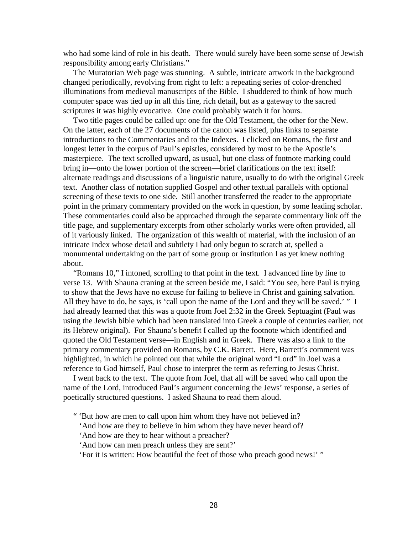who had some kind of role in his death. There would surely have been some sense of Jewish responsibility among early Christians."

 The Muratorian Web page was stunning. A subtle, intricate artwork in the background changed periodically, revolving from right to left: a repeating series of color-drenched illuminations from medieval manuscripts of the Bible. I shuddered to think of how much computer space was tied up in all this fine, rich detail, but as a gateway to the sacred scriptures it was highly evocative. One could probably watch it for hours.

 Two title pages could be called up: one for the Old Testament, the other for the New. On the latter, each of the 27 documents of the canon was listed, plus links to separate introductions to the Commentaries and to the Indexes. I clicked on Romans, the first and longest letter in the corpus of Paul's epistles, considered by most to be the Apostle's masterpiece. The text scrolled upward, as usual, but one class of footnote marking could bring in—onto the lower portion of the screen—brief clarifications on the text itself: alternate readings and discussions of a linguistic nature, usually to do with the original Greek text. Another class of notation supplied Gospel and other textual parallels with optional screening of these texts to one side. Still another transferred the reader to the appropriate point in the primary commentary provided on the work in question, by some leading scholar. These commentaries could also be approached through the separate commentary link off the title page, and supplementary excerpts from other scholarly works were often provided, all of it variously linked. The organization of this wealth of material, with the inclusion of an intricate Index whose detail and subtlety I had only begun to scratch at, spelled a monumental undertaking on the part of some group or institution I as yet knew nothing about.

 "Romans 10," I intoned, scrolling to that point in the text. I advanced line by line to verse 13. With Shauna craning at the screen beside me, I said: "You see, here Paul is trying to show that the Jews have no excuse for failing to believe in Christ and gaining salvation. All they have to do, he says, is 'call upon the name of the Lord and they will be saved.' " I had already learned that this was a quote from Joel 2:32 in the Greek Septuagint (Paul was using the Jewish bible which had been translated into Greek a couple of centuries earlier, not its Hebrew original). For Shauna's benefit I called up the footnote which identified and quoted the Old Testament verse—in English and in Greek. There was also a link to the primary commentary provided on Romans, by C.K. Barrett. Here, Barrett's comment was highlighted, in which he pointed out that while the original word "Lord" in Joel was a reference to God himself, Paul chose to interpret the term as referring to Jesus Christ.

 I went back to the text. The quote from Joel, that all will be saved who call upon the name of the Lord, introduced Paul's argument concerning the Jews' response, a series of poetically structured questions. I asked Shauna to read them aloud.

" 'But how are men to call upon him whom they have not believed in?

'And how are they to believe in him whom they have never heard of?

- 'And how are they to hear without a preacher?
- 'And how can men preach unless they are sent?'

'For it is written: How beautiful the feet of those who preach good news!' "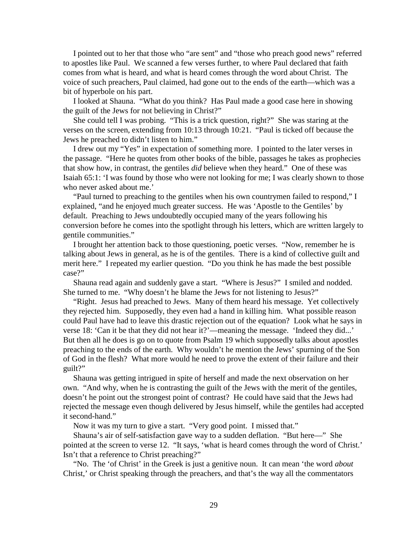I pointed out to her that those who "are sent" and "those who preach good news" referred to apostles like Paul. We scanned a few verses further, to where Paul declared that faith comes from what is heard, and what is heard comes through the word about Christ. The voice of such preachers, Paul claimed, had gone out to the ends of the earth—which was a bit of hyperbole on his part.

 I looked at Shauna. "What do you think? Has Paul made a good case here in showing the guilt of the Jews for not believing in Christ?"

 She could tell I was probing. "This is a trick question, right?" She was staring at the verses on the screen, extending from 10:13 through 10:21. "Paul is ticked off because the Jews he preached to didn't listen to him."

 I drew out my "Yes" in expectation of something more. I pointed to the later verses in the passage. "Here he quotes from other books of the bible, passages he takes as prophecies that show how, in contrast, the gentiles *did* believe when they heard." One of these was Isaiah 65:1: 'I was found by those who were not looking for me; I was clearly shown to those who never asked about me.'

 "Paul turned to preaching to the gentiles when his own countrymen failed to respond," I explained, "and he enjoyed much greater success. He was 'Apostle to the Gentiles' by default. Preaching to Jews undoubtedly occupied many of the years following his conversion before he comes into the spotlight through his letters, which are written largely to gentile communities."

 I brought her attention back to those questioning, poetic verses. "Now, remember he is talking about Jews in general, as he is of the gentiles. There is a kind of collective guilt and merit here." I repeated my earlier question. "Do you think he has made the best possible case?"

 Shauna read again and suddenly gave a start. "Where is Jesus?" I smiled and nodded. She turned to me. "Why doesn't he blame the Jews for not listening to Jesus?"

 "Right. Jesus had preached to Jews. Many of them heard his message. Yet collectively they rejected him. Supposedly, they even had a hand in killing him. What possible reason could Paul have had to leave this drastic rejection out of the equation? Look what he says in verse 18: 'Can it be that they did not hear it?'—meaning the message. 'Indeed they did...' But then all he does is go on to quote from Psalm 19 which supposedly talks about apostles preaching to the ends of the earth. Why wouldn't he mention the Jews' spurning of the Son of God in the flesh? What more would he need to prove the extent of their failure and their guilt?"

 Shauna was getting intrigued in spite of herself and made the next observation on her own. "And why, when he is contrasting the guilt of the Jews with the merit of the gentiles, doesn't he point out the strongest point of contrast? He could have said that the Jews had rejected the message even though delivered by Jesus himself, while the gentiles had accepted it second-hand."

Now it was my turn to give a start. "Very good point. I missed that."

 Shauna's air of self-satisfaction gave way to a sudden deflation. "But here—" She pointed at the screen to verse 12. "It says, 'what is heard comes through the word of Christ.' Isn't that a reference to Christ preaching?"

 "No. The 'of Christ' in the Greek is just a genitive noun. It can mean 'the word *about* Christ,' or Christ speaking through the preachers, and that's the way all the commentators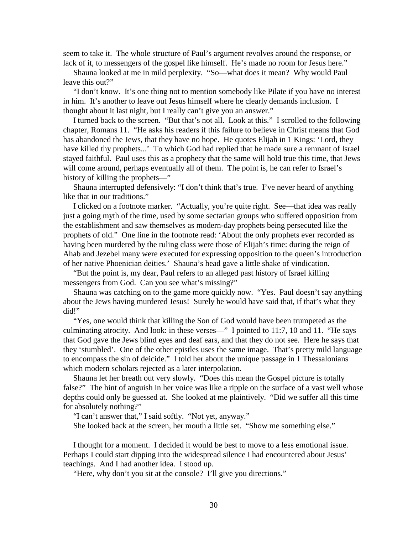seem to take it. The whole structure of Paul's argument revolves around the response, or lack of it, to messengers of the gospel like himself. He's made no room for Jesus here."

 Shauna looked at me in mild perplexity. "So—what does it mean? Why would Paul leave this out?"

 "I don't know. It's one thing not to mention somebody like Pilate if you have no interest in him. It's another to leave out Jesus himself where he clearly demands inclusion. I thought about it last night, but I really can't give you an answer."

 I turned back to the screen. "But that's not all. Look at this." I scrolled to the following chapter, Romans 11. "He asks his readers if this failure to believe in Christ means that God has abandoned the Jews, that they have no hope. He quotes Elijah in 1 Kings: 'Lord, they have killed thy prophets...' To which God had replied that he made sure a remnant of Israel stayed faithful. Paul uses this as a prophecy that the same will hold true this time, that Jews will come around, perhaps eventually all of them. The point is, he can refer to Israel's history of killing the prophets—"

 Shauna interrupted defensively: "I don't think that's true. I've never heard of anything like that in our traditions."

 I clicked on a footnote marker. "Actually, you're quite right. See—that idea was really just a going myth of the time, used by some sectarian groups who suffered opposition from the establishment and saw themselves as modern-day prophets being persecuted like the prophets of old." One line in the footnote read: 'About the only prophets ever recorded as having been murdered by the ruling class were those of Elijah's time: during the reign of Ahab and Jezebel many were executed for expressing opposition to the queen's introduction of her native Phoenician deities.' Shauna's head gave a little shake of vindication.

 "But the point is, my dear, Paul refers to an alleged past history of Israel killing messengers from God. Can you see what's missing?"

 Shauna was catching on to the game more quickly now. "Yes. Paul doesn't say anything about the Jews having murdered Jesus! Surely he would have said that, if that's what they did!"

 "Yes, one would think that killing the Son of God would have been trumpeted as the culminating atrocity. And look: in these verses—" I pointed to 11:7, 10 and 11. "He says that God gave the Jews blind eyes and deaf ears, and that they do not see. Here he says that they 'stumbled'. One of the other epistles uses the same image. That's pretty mild language to encompass the sin of deicide." I told her about the unique passage in 1 Thessalonians which modern scholars rejected as a later interpolation.

 Shauna let her breath out very slowly. "Does this mean the Gospel picture is totally false?" The hint of anguish in her voice was like a ripple on the surface of a vast well whose depths could only be guessed at. She looked at me plaintively. "Did we suffer all this time for absolutely nothing?"

"I can't answer that," I said softly. "Not yet, anyway."

She looked back at the screen, her mouth a little set. "Show me something else."

 I thought for a moment. I decided it would be best to move to a less emotional issue. Perhaps I could start dipping into the widespread silence I had encountered about Jesus' teachings. And I had another idea. I stood up.

"Here, why don't you sit at the console? I'll give you directions."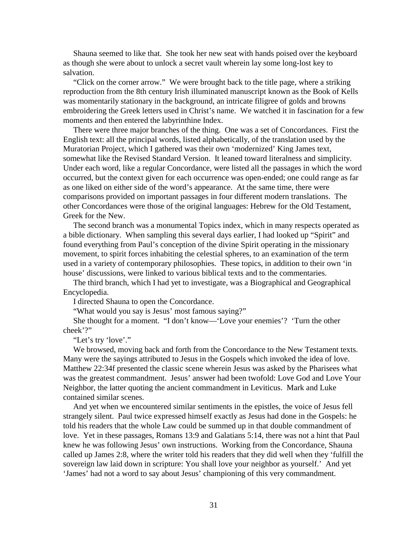Shauna seemed to like that. She took her new seat with hands poised over the keyboard as though she were about to unlock a secret vault wherein lay some long-lost key to salvation.

 "Click on the corner arrow." We were brought back to the title page, where a striking reproduction from the 8th century Irish illuminated manuscript known as the Book of Kells was momentarily stationary in the background, an intricate filigree of golds and browns embroidering the Greek letters used in Christ's name. We watched it in fascination for a few moments and then entered the labyrinthine Index.

 There were three major branches of the thing. One was a set of Concordances. First the English text: all the principal words, listed alphabetically, of the translation used by the Muratorian Project, which I gathered was their own 'modernized' King James text, somewhat like the Revised Standard Version. It leaned toward literalness and simplicity. Under each word, like a regular Concordance, were listed all the passages in which the word occurred, but the context given for each occurrence was open-ended; one could range as far as one liked on either side of the word's appearance. At the same time, there were comparisons provided on important passages in four different modern translations. The other Concordances were those of the original languages: Hebrew for the Old Testament, Greek for the New.

 The second branch was a monumental Topics index, which in many respects operated as a bible dictionary. When sampling this several days earlier, I had looked up "Spirit" and found everything from Paul's conception of the divine Spirit operating in the missionary movement, to spirit forces inhabiting the celestial spheres, to an examination of the term used in a variety of contemporary philosophies. These topics, in addition to their own 'in house' discussions, were linked to various biblical texts and to the commentaries.

 The third branch, which I had yet to investigate, was a Biographical and Geographical Encyclopedia.

I directed Shauna to open the Concordance.

"What would you say is Jesus' most famous saying?"

 She thought for a moment. "I don't know—'Love your enemies'? 'Turn the other cheek'?"

"Let's try 'love'."

 We browsed, moving back and forth from the Concordance to the New Testament texts. Many were the sayings attributed to Jesus in the Gospels which invoked the idea of love. Matthew 22:34f presented the classic scene wherein Jesus was asked by the Pharisees what was the greatest commandment. Jesus' answer had been twofold: Love God and Love Your Neighbor, the latter quoting the ancient commandment in Leviticus. Mark and Luke contained similar scenes.

 And yet when we encountered similar sentiments in the epistles, the voice of Jesus fell strangely silent. Paul twice expressed himself exactly as Jesus had done in the Gospels: he told his readers that the whole Law could be summed up in that double commandment of love. Yet in these passages, Romans 13:9 and Galatians 5:14, there was not a hint that Paul knew he was following Jesus' own instructions. Working from the Concordance, Shauna called up James 2:8, where the writer told his readers that they did well when they 'fulfill the sovereign law laid down in scripture: You shall love your neighbor as yourself.' And yet 'James' had not a word to say about Jesus' championing of this very commandment.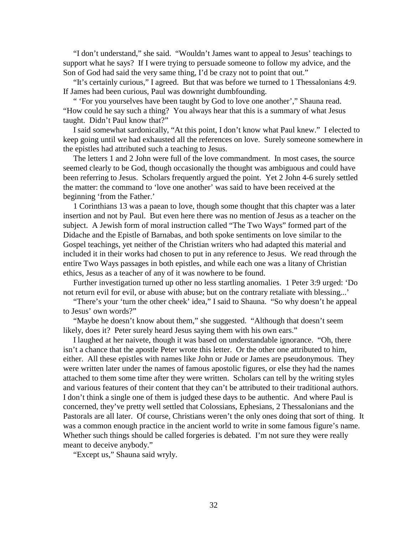"I don't understand," she said. "Wouldn't James want to appeal to Jesus' teachings to support what he says? If I were trying to persuade someone to follow my advice, and the Son of God had said the very same thing, I'd be crazy not to point that out."

 "It's certainly curious," I agreed. But that was before we turned to 1 Thessalonians 4:9. If James had been curious, Paul was downright dumbfounding.

 " 'For you yourselves have been taught by God to love one another'," Shauna read. "How could he say such a thing? You always hear that this is a summary of what Jesus taught. Didn't Paul know that?"

 I said somewhat sardonically, "At this point, I don't know what Paul knew." I elected to keep going until we had exhausted all the references on love. Surely someone somewhere in the epistles had attributed such a teaching to Jesus.

 The letters 1 and 2 John were full of the love commandment. In most cases, the source seemed clearly to be God, though occasionally the thought was ambiguous and could have been referring to Jesus. Scholars frequently argued the point. Yet 2 John 4-6 surely settled the matter: the command to 'love one another' was said to have been received at the beginning 'from the Father.'

 1 Corinthians 13 was a paean to love, though some thought that this chapter was a later insertion and not by Paul. But even here there was no mention of Jesus as a teacher on the subject. A Jewish form of moral instruction called "The Two Ways" formed part of the Didache and the Epistle of Barnabas, and both spoke sentiments on love similar to the Gospel teachings, yet neither of the Christian writers who had adapted this material and included it in their works had chosen to put in any reference to Jesus. We read through the entire Two Ways passages in both epistles, and while each one was a litany of Christian ethics, Jesus as a teacher of any of it was nowhere to be found.

 Further investigation turned up other no less startling anomalies. 1 Peter 3:9 urged: 'Do not return evil for evil, or abuse with abuse; but on the contrary retaliate with blessing...'

 "There's your 'turn the other cheek' idea," I said to Shauna. "So why doesn't he appeal to Jesus' own words?"

 "Maybe he doesn't know about them," she suggested. "Although that doesn't seem likely, does it? Peter surely heard Jesus saying them with his own ears."

 I laughed at her naivete, though it was based on understandable ignorance. "Oh, there isn't a chance that the apostle Peter wrote this letter. Or the other one attributed to him, either. All these epistles with names like John or Jude or James are pseudonymous. They were written later under the names of famous apostolic figures, or else they had the names attached to them some time after they were written. Scholars can tell by the writing styles and various features of their content that they can't be attributed to their traditional authors. I don't think a single one of them is judged these days to be authentic. And where Paul is concerned, they've pretty well settled that Colossians, Ephesians, 2 Thessalonians and the Pastorals are all later. Of course, Christians weren't the only ones doing that sort of thing. It was a common enough practice in the ancient world to write in some famous figure's name. Whether such things should be called forgeries is debated. I'm not sure they were really meant to deceive anybody."

"Except us," Shauna said wryly.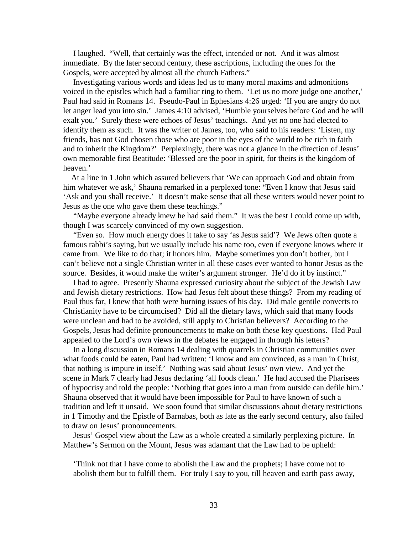I laughed. "Well, that certainly was the effect, intended or not. And it was almost immediate. By the later second century, these ascriptions, including the ones for the Gospels, were accepted by almost all the church Fathers."

 Investigating various words and ideas led us to many moral maxims and admonitions voiced in the epistles which had a familiar ring to them. 'Let us no more judge one another,' Paul had said in Romans 14. Pseudo-Paul in Ephesians 4:26 urged: 'If you are angry do not let anger lead you into sin.' James 4:10 advised, 'Humble yourselves before God and he will exalt you.' Surely these were echoes of Jesus' teachings. And yet no one had elected to identify them as such. It was the writer of James, too, who said to his readers: 'Listen, my friends, has not God chosen those who are poor in the eyes of the world to be rich in faith and to inherit the Kingdom?' Perplexingly, there was not a glance in the direction of Jesus' own memorable first Beatitude: 'Blessed are the poor in spirit, for theirs is the kingdom of heaven.'

 At a line in 1 John which assured believers that 'We can approach God and obtain from him whatever we ask,' Shauna remarked in a perplexed tone: "Even I know that Jesus said 'Ask and you shall receive.' It doesn't make sense that all these writers would never point to Jesus as the one who gave them these teachings."

 "Maybe everyone already knew he had said them." It was the best I could come up with, though I was scarcely convinced of my own suggestion.

 "Even so. How much energy does it take to say 'as Jesus said'? We Jews often quote a famous rabbi's saying, but we usually include his name too, even if everyone knows where it came from. We like to do that; it honors him. Maybe sometimes you don't bother, but I can't believe not a single Christian writer in all these cases ever wanted to honor Jesus as the source. Besides, it would make the writer's argument stronger. He'd do it by instinct."

 I had to agree. Presently Shauna expressed curiosity about the subject of the Jewish Law and Jewish dietary restrictions. How had Jesus felt about these things? From my reading of Paul thus far, I knew that both were burning issues of his day. Did male gentile converts to Christianity have to be circumcised? Did all the dietary laws, which said that many foods were unclean and had to be avoided, still apply to Christian believers? According to the Gospels, Jesus had definite pronouncements to make on both these key questions. Had Paul appealed to the Lord's own views in the debates he engaged in through his letters?

 In a long discussion in Romans 14 dealing with quarrels in Christian communities over what foods could be eaten, Paul had written: 'I know and am convinced, as a man in Christ, that nothing is impure in itself.' Nothing was said about Jesus' own view. And yet the scene in Mark 7 clearly had Jesus declaring 'all foods clean.' He had accused the Pharisees of hypocrisy and told the people: 'Nothing that goes into a man from outside can defile him.' Shauna observed that it would have been impossible for Paul to have known of such a tradition and left it unsaid. We soon found that similar discussions about dietary restrictions in 1 Timothy and the Epistle of Barnabas, both as late as the early second century, also failed to draw on Jesus' pronouncements.

 Jesus' Gospel view about the Law as a whole created a similarly perplexing picture. In Matthew's Sermon on the Mount, Jesus was adamant that the Law had to be upheld:

 'Think not that I have come to abolish the Law and the prophets; I have come not to abolish them but to fulfill them. For truly I say to you, till heaven and earth pass away,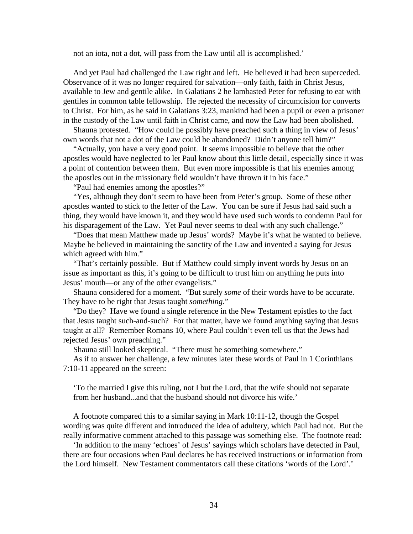not an iota, not a dot, will pass from the Law until all is accomplished.'

 And yet Paul had challenged the Law right and left. He believed it had been superceded. Observance of it was no longer required for salvation—only faith, faith in Christ Jesus, available to Jew and gentile alike. In Galatians 2 he lambasted Peter for refusing to eat with gentiles in common table fellowship. He rejected the necessity of circumcision for converts to Christ. For him, as he said in Galatians 3:23, mankind had been a pupil or even a prisoner in the custody of the Law until faith in Christ came, and now the Law had been abolished.

 Shauna protested. "How could he possibly have preached such a thing in view of Jesus' own words that not a dot of the Law could be abandoned? Didn't anyone tell him?"

 "Actually, you have a very good point. It seems impossible to believe that the other apostles would have neglected to let Paul know about this little detail, especially since it was a point of contention between them. But even more impossible is that his enemies among the apostles out in the missionary field wouldn't have thrown it in his face."

"Paul had enemies among the apostles?"

 "Yes, although they don't seem to have been from Peter's group. Some of these other apostles wanted to stick to the letter of the Law. You can be sure if Jesus had said such a thing, they would have known it, and they would have used such words to condemn Paul for his disparagement of the Law. Yet Paul never seems to deal with any such challenge."

 "Does that mean Matthew made up Jesus' words? Maybe it's what he wanted to believe. Maybe he believed in maintaining the sanctity of the Law and invented a saying for Jesus which agreed with him."

 "That's certainly possible. But if Matthew could simply invent words by Jesus on an issue as important as this, it's going to be difficult to trust him on anything he puts into Jesus' mouth—or any of the other evangelists."

 Shauna considered for a moment. "But surely *some* of their words have to be accurate. They have to be right that Jesus taught *something*."

 "Do they? Have we found a single reference in the New Testament epistles to the fact that Jesus taught such-and-such? For that matter, have we found anything saying that Jesus taught at all? Remember Romans 10, where Paul couldn't even tell us that the Jews had rejected Jesus' own preaching."

Shauna still looked skeptical. "There must be something somewhere."

 As if to answer her challenge, a few minutes later these words of Paul in 1 Corinthians 7:10-11 appeared on the screen:

 'To the married I give this ruling, not I but the Lord, that the wife should not separate from her husband...and that the husband should not divorce his wife.'

 A footnote compared this to a similar saying in Mark 10:11-12, though the Gospel wording was quite different and introduced the idea of adultery, which Paul had not. But the really informative comment attached to this passage was something else. The footnote read:

 'In addition to the many 'echoes' of Jesus' sayings which scholars have detected in Paul, there are four occasions when Paul declares he has received instructions or information from the Lord himself. New Testament commentators call these citations 'words of the Lord'.'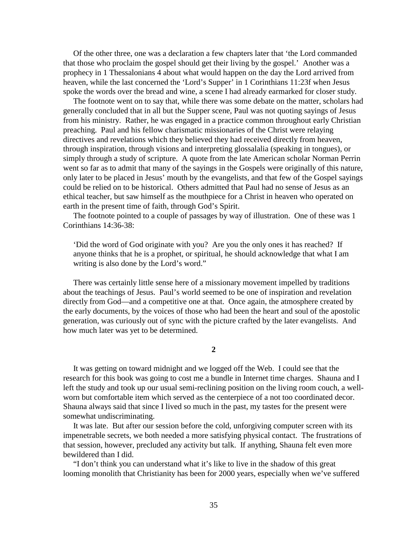Of the other three, one was a declaration a few chapters later that 'the Lord commanded that those who proclaim the gospel should get their living by the gospel.' Another was a prophecy in 1 Thessalonians 4 about what would happen on the day the Lord arrived from heaven, while the last concerned the 'Lord's Supper' in 1 Corinthians 11:23f when Jesus spoke the words over the bread and wine, a scene I had already earmarked for closer study.

 The footnote went on to say that, while there was some debate on the matter, scholars had generally concluded that in all but the Supper scene, Paul was not quoting sayings of Jesus from his ministry. Rather, he was engaged in a practice common throughout early Christian preaching. Paul and his fellow charismatic missionaries of the Christ were relaying directives and revelations which they believed they had received directly from heaven, through inspiration, through visions and interpreting glossalalia (speaking in tongues), or simply through a study of scripture. A quote from the late American scholar Norman Perrin went so far as to admit that many of the sayings in the Gospels were originally of this nature, only later to be placed in Jesus' mouth by the evangelists, and that few of the Gospel sayings could be relied on to be historical. Others admitted that Paul had no sense of Jesus as an ethical teacher, but saw himself as the mouthpiece for a Christ in heaven who operated on earth in the present time of faith, through God's Spirit.

 The footnote pointed to a couple of passages by way of illustration. One of these was 1 Corinthians 14:36-38:

 'Did the word of God originate with you? Are you the only ones it has reached? If anyone thinks that he is a prophet, or spiritual, he should acknowledge that what I am writing is also done by the Lord's word."

 There was certainly little sense here of a missionary movement impelled by traditions about the teachings of Jesus. Paul's world seemed to be one of inspiration and revelation directly from God—and a competitive one at that. Once again, the atmosphere created by the early documents, by the voices of those who had been the heart and soul of the apostolic generation, was curiously out of sync with the picture crafted by the later evangelists. And how much later was yet to be determined.

**2**

 It was getting on toward midnight and we logged off the Web. I could see that the research for this book was going to cost me a bundle in Internet time charges. Shauna and I left the study and took up our usual semi-reclining position on the living room couch, a wellworn but comfortable item which served as the centerpiece of a not too coordinated decor. Shauna always said that since I lived so much in the past, my tastes for the present were somewhat undiscriminating.

 It was late. But after our session before the cold, unforgiving computer screen with its impenetrable secrets, we both needed a more satisfying physical contact. The frustrations of that session, however, precluded any activity but talk. If anything, Shauna felt even more bewildered than I did.

 "I don't think you can understand what it's like to live in the shadow of this great looming monolith that Christianity has been for 2000 years, especially when we've suffered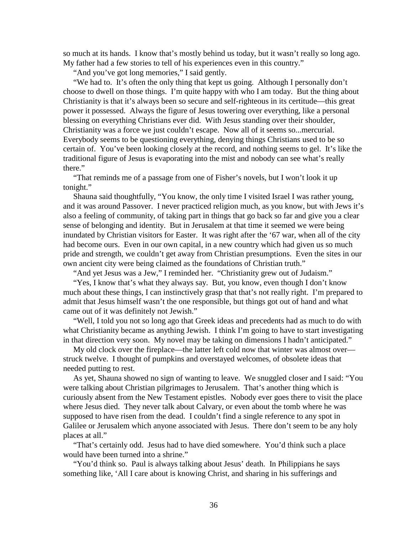so much at its hands. I know that's mostly behind us today, but it wasn't really so long ago. My father had a few stories to tell of his experiences even in this country."

"And you've got long memories," I said gently.

 "We had to. It's often the only thing that kept us going. Although I personally don't choose to dwell on those things. I'm quite happy with who I am today. But the thing about Christianity is that it's always been so secure and self-righteous in its certitude—this great power it possessed. Always the figure of Jesus towering over everything, like a personal blessing on everything Christians ever did. With Jesus standing over their shoulder, Christianity was a force we just couldn't escape. Now all of it seems so...mercurial. Everybody seems to be questioning everything, denying things Christians used to be so certain of. You've been looking closely at the record, and nothing seems to gel. It's like the traditional figure of Jesus is evaporating into the mist and nobody can see what's really there."

 "That reminds me of a passage from one of Fisher's novels, but I won't look it up tonight."

 Shauna said thoughtfully, "You know, the only time I visited Israel I was rather young, and it was around Passover. I never practiced religion much, as you know, but with Jews it's also a feeling of community, of taking part in things that go back so far and give you a clear sense of belonging and identity. But in Jerusalem at that time it seemed we were being inundated by Christian visitors for Easter. It was right after the '67 war, when all of the city had become ours. Even in our own capital, in a new country which had given us so much pride and strength, we couldn't get away from Christian presumptions. Even the sites in our own ancient city were being claimed as the foundations of Christian truth."

"And yet Jesus was a Jew," I reminded her. "Christianity grew out of Judaism."

 "Yes, I know that's what they always say. But, you know, even though I don't know much about these things, I can instinctively grasp that that's not really right. I'm prepared to admit that Jesus himself wasn't the one responsible, but things got out of hand and what came out of it was definitely not Jewish."

 "Well, I told you not so long ago that Greek ideas and precedents had as much to do with what Christianity became as anything Jewish. I think I'm going to have to start investigating in that direction very soon. My novel may be taking on dimensions I hadn't anticipated."

 My old clock over the fireplace—the latter left cold now that winter was almost over struck twelve. I thought of pumpkins and overstayed welcomes, of obsolete ideas that needed putting to rest.

 As yet, Shauna showed no sign of wanting to leave. We snuggled closer and I said: "You were talking about Christian pilgrimages to Jerusalem. That's another thing which is curiously absent from the New Testament epistles. Nobody ever goes there to visit the place where Jesus died. They never talk about Calvary, or even about the tomb where he was supposed to have risen from the dead. I couldn't find a single reference to any spot in Galilee or Jerusalem which anyone associated with Jesus. There don't seem to be any holy places at all."

 "That's certainly odd. Jesus had to have died somewhere. You'd think such a place would have been turned into a shrine."

 "You'd think so. Paul is always talking about Jesus' death. In Philippians he says something like, 'All I care about is knowing Christ, and sharing in his sufferings and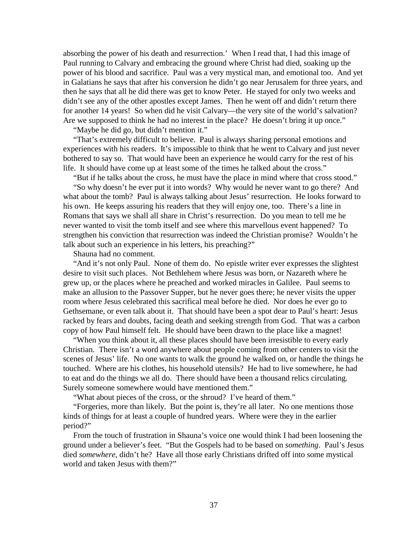absorbing the power of his death and resurrection.' When I read that, I had this image of Paul running to Calvary and embracing the ground where Christ had died, soaking up the power of his blood and sacrifice. Paul was a very mystical man, and emotional too. And yet in Galatians he says that after his conversion he didn't go near Jerusalem for three years, and then he says that all he did there was get to know Peter. He stayed for only two weeks and didn't see any of the other apostles except James. Then he went off and didn't return there for another 14 years! So when did he visit Calvary—the very site of the world's salvation? Are we supposed to think he had no interest in the place? He doesn't bring it up once."

"Maybe he did go, but didn't mention it."

 "That's extremely difficult to believe. Paul is always sharing personal emotions and experiences with his readers. It's impossible to think that he went to Calvary and just never bothered to say so. That would have been an experience he would carry for the rest of his life. It should have come up at least some of the times he talked about the cross."

"But if he talks about the cross, he must have the place in mind where that cross stood."

 "So why doesn't he ever put it into words? Why would he never want to go there? And what about the tomb? Paul is always talking about Jesus' resurrection. He looks forward to his own. He keeps assuring his readers that they will enjoy one, too. There's a line in Romans that says we shall all share in Christ's resurrection. Do you mean to tell me he never wanted to visit the tomb itself and see where this marvellous event happened? To strengthen his conviction that resurrection was indeed the Christian promise? Wouldn't he talk about such an experience in his letters, his preaching?"

Shauna had no comment.

 "And it's not only Paul. None of them do. No epistle writer ever expresses the slightest desire to visit such places. Not Bethlehem where Jesus was born, or Nazareth where he grew up, or the places where he preached and worked miracles in Galilee. Paul seems to make an allusion to the Passover Supper, but he never goes there; he never visits the upper room where Jesus celebrated this sacrifical meal before he died. Nor does he ever go to Gethsemane, or even talk about it. That should have been a spot dear to Paul's heart: Jesus racked by fears and doubts, facing death and seeking strength from God. That was a carbon copy of how Paul himself felt. He should have been drawn to the place like a magnet!

 "When you think about it, all these places should have been irresistible to every early Christian. There isn't a word anywhere about people coming from other centers to visit the scenes of Jesus' life. No one wants to walk the ground he walked on, or handle the things he touched. Where are his clothes, his household utensils? He had to live somewhere, he had to eat and do the things we all do. There should have been a thousand relics circulating. Surely someone somewhere would have mentioned them."

"What about pieces of the cross, or the shroud? I've heard of them."

 "Forgeries, more than likely. But the point is, they're all later. No one mentions those kinds of things for at least a couple of hundred years. Where were they in the earlier period?"

 From the touch of frustration in Shauna's voice one would think I had been loosening the ground under a believer's feet. "But the Gospels had to be based on *something*. Paul's Jesus died *somewhere*, didn't he? Have all those early Christians drifted off into some mystical world and taken Jesus with them?"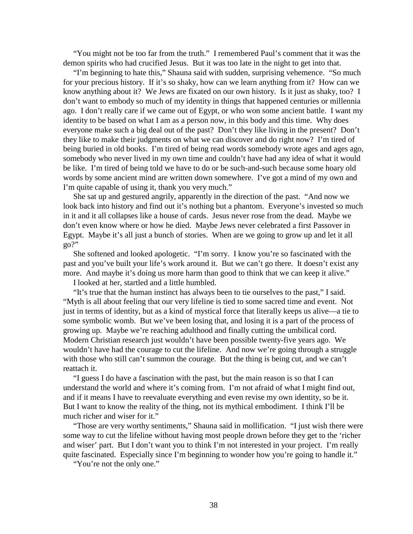"You might not be too far from the truth." I remembered Paul's comment that it was the demon spirits who had crucified Jesus. But it was too late in the night to get into that.

 "I'm beginning to hate this," Shauna said with sudden, surprising vehemence. "So much for your precious history. If it's so shaky, how can we learn anything from it? How can we know anything about it? We Jews are fixated on our own history. Is it just as shaky, too? I don't want to embody so much of my identity in things that happened centuries or millennia ago. I don't really care if we came out of Egypt, or who won some ancient battle. I want my identity to be based on what I am as a person now, in this body and this time. Why does everyone make such a big deal out of the past? Don't they like living in the present? Don't they like to make their judgments on what we can discover and do right now? I'm tired of being buried in old books. I'm tired of being read words somebody wrote ages and ages ago, somebody who never lived in my own time and couldn't have had any idea of what it would be like. I'm tired of being told we have to do or be such-and-such because some hoary old words by some ancient mind are written down somewhere. I've got a mind of my own and I'm quite capable of using it, thank you very much."

 She sat up and gestured angrily, apparently in the direction of the past. "And now we look back into history and find out it's nothing but a phantom. Everyone's invested so much in it and it all collapses like a house of cards. Jesus never rose from the dead. Maybe we don't even know where or how he died. Maybe Jews never celebrated a first Passover in Egypt. Maybe it's all just a bunch of stories. When are we going to grow up and let it all go?"

 She softened and looked apologetic. "I'm sorry. I know you're so fascinated with the past and you've built your life's work around it. But we can't go there. It doesn't exist any more. And maybe it's doing us more harm than good to think that we can keep it alive."

I looked at her, startled and a little humbled.

 "It's true that the human instinct has always been to tie ourselves to the past," I said. "Myth is all about feeling that our very lifeline is tied to some sacred time and event. Not just in terms of identity, but as a kind of mystical force that literally keeps us alive—a tie to some symbolic womb. But we've been losing that, and losing it is a part of the process of growing up. Maybe we're reaching adulthood and finally cutting the umbilical cord. Modern Christian research just wouldn't have been possible twenty-five years ago. We wouldn't have had the courage to cut the lifeline. And now we're going through a struggle with those who still can't summon the courage. But the thing is being cut, and we can't reattach it.

 "I guess I do have a fascination with the past, but the main reason is so that I can understand the world and where it's coming from. I'm not afraid of what I might find out, and if it means I have to reevaluate everything and even revise my own identity, so be it. But I want to know the reality of the thing, not its mythical embodiment. I think I'll be much richer and wiser for it."

 "Those are very worthy sentiments," Shauna said in mollification. "I just wish there were some way to cut the lifeline without having most people drown before they get to the 'richer and wiser' part. But I don't want you to think I'm not interested in your project. I'm really quite fascinated. Especially since I'm beginning to wonder how you're going to handle it."

"You're not the only one."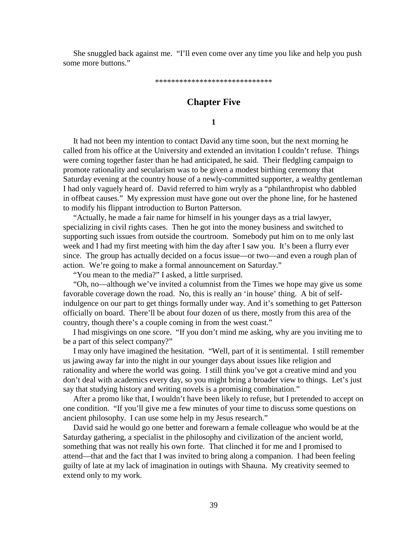She snuggled back against me. "I'll even come over any time you like and help you push some more buttons."

\*\*\*\*\*\*\*\*\*\*\*\*\*\*\*\*\*\*\*\*\*\*\*\*\*\*\*\*\*

# **Chapter Five**

**1**

 It had not been my intention to contact David any time soon, but the next morning he called from his office at the University and extended an invitation I couldn't refuse. Things were coming together faster than he had anticipated, he said. Their fledgling campaign to promote rationality and secularism was to be given a modest birthing ceremony that Saturday evening at the country house of a newly-committed supporter, a wealthy gentleman I had only vaguely heard of. David referred to him wryly as a "philanthropist who dabbled in offbeat causes." My expression must have gone out over the phone line, for he hastened to modify his flippant introduction to Burton Patterson.

 "Actually, he made a fair name for himself in his younger days as a trial lawyer, specializing in civil rights cases. Then he got into the money business and switched to supporting such issues from outside the courtroom. Somebody put him on to me only last week and I had my first meeting with him the day after I saw you. It's been a flurry ever since. The group has actually decided on a focus issue—or two—and even a rough plan of action. We're going to make a formal announcement on Saturday."

"You mean to the media?" I asked, a little surprised.

 "Oh, no—although we've invited a columnist from the Times we hope may give us some favorable coverage down the road. No, this is really an 'in house' thing. A bit of selfindulgence on our part to get things formally under way. And it's something to get Patterson officially on board. There'll be about four dozen of us there, mostly from this area of the country, though there's a couple coming in from the west coast."

 I had misgivings on one score. "If you don't mind me asking, why are you inviting me to be a part of this select company?"

 I may only have imagined the hesitation. "Well, part of it is sentimental. I still remember us jawing away far into the night in our younger days about issues like religion and rationality and where the world was going. I still think you've got a creative mind and you don't deal with academics every day, so you might bring a broader view to things. Let's just say that studying history and writing novels is a promising combination."

 After a promo like that, I wouldn't have been likely to refuse, but I pretended to accept on one condition. "If you'll give me a few minutes of your time to discuss some questions on ancient philosophy. I can use some help in my Jesus research."

 David said he would go one better and forewarn a female colleague who would be at the Saturday gathering, a specialist in the philosophy and civilization of the ancient world, something that was not really his own forte. That clinched it for me and I promised to attend—that and the fact that I was invited to bring along a companion. I had been feeling guilty of late at my lack of imagination in outings with Shauna. My creativity seemed to extend only to my work.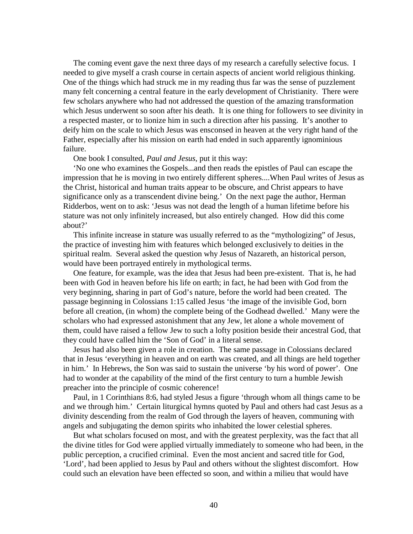The coming event gave the next three days of my research a carefully selective focus. I needed to give myself a crash course in certain aspects of ancient world religious thinking. One of the things which had struck me in my reading thus far was the sense of puzzlement many felt concerning a central feature in the early development of Christianity. There were few scholars anywhere who had not addressed the question of the amazing transformation which Jesus underwent so soon after his death. It is one thing for followers to see divinity in a respected master, or to lionize him in such a direction after his passing. It's another to deify him on the scale to which Jesus was ensconsed in heaven at the very right hand of the Father, especially after his mission on earth had ended in such apparently ignominious failure.

#### One book I consulted, *Paul and Jesus*, put it this way:

 'No one who examines the Gospels...and then reads the epistles of Paul can escape the impression that he is moving in two entirely different spheres....When Paul writes of Jesus as the Christ, historical and human traits appear to be obscure, and Christ appears to have significance only as a transcendent divine being.' On the next page the author, Herman Ridderbos, went on to ask: 'Jesus was not dead the length of a human lifetime before his stature was not only infinitely increased, but also entirely changed. How did this come about?'

 This infinite increase in stature was usually referred to as the "mythologizing" of Jesus, the practice of investing him with features which belonged exclusively to deities in the spiritual realm. Several asked the question why Jesus of Nazareth, an historical person, would have been portrayed entirely in mythological terms.

 One feature, for example, was the idea that Jesus had been pre-existent. That is, he had been with God in heaven before his life on earth; in fact, he had been with God from the very beginning, sharing in part of God's nature, before the world had been created. The passage beginning in Colossians 1:15 called Jesus 'the image of the invisible God, born before all creation, (in whom) the complete being of the Godhead dwelled.' Many were the scholars who had expressed astonishment that any Jew, let alone a whole movement of them, could have raised a fellow Jew to such a lofty position beside their ancestral God, that they could have called him the 'Son of God' in a literal sense.

 Jesus had also been given a role in creation. The same passage in Colossians declared that in Jesus 'everything in heaven and on earth was created, and all things are held together in him.' In Hebrews, the Son was said to sustain the universe 'by his word of power'. One had to wonder at the capability of the mind of the first century to turn a humble Jewish preacher into the principle of cosmic coherence!

 Paul, in 1 Corinthians 8:6, had styled Jesus a figure 'through whom all things came to be and we through him.' Certain liturgical hymns quoted by Paul and others had cast Jesus as a divinity descending from the realm of God through the layers of heaven, communing with angels and subjugating the demon spirits who inhabited the lower celestial spheres.

 But what scholars focused on most, and with the greatest perplexity, was the fact that all the divine titles for God were applied virtually immediately to someone who had been, in the public perception, a crucified criminal. Even the most ancient and sacred title for God, 'Lord', had been applied to Jesus by Paul and others without the slightest discomfort. How could such an elevation have been effected so soon, and within a milieu that would have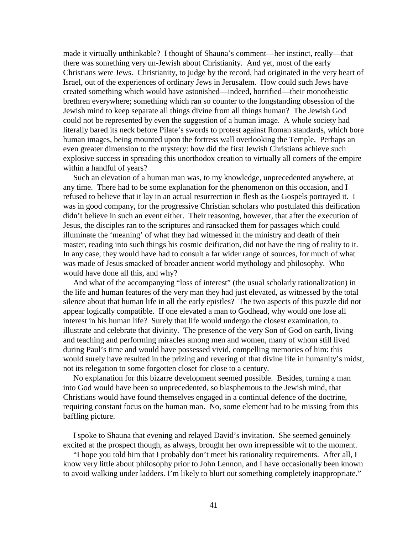made it virtually unthinkable? I thought of Shauna's comment—her instinct, really—that there was something very un-Jewish about Christianity. And yet, most of the early Christians were Jews. Christianity, to judge by the record, had originated in the very heart of Israel, out of the experiences of ordinary Jews in Jerusalem. How could such Jews have created something which would have astonished—indeed, horrified—their monotheistic brethren everywhere; something which ran so counter to the longstanding obsession of the Jewish mind to keep separate all things divine from all things human? The Jewish God could not be represented by even the suggestion of a human image. A whole society had literally bared its neck before Pilate's swords to protest against Roman standards, which bore human images, being mounted upon the fortress wall overlooking the Temple. Perhaps an even greater dimension to the mystery: how did the first Jewish Christians achieve such explosive success in spreading this unorthodox creation to virtually all corners of the empire within a handful of years?

 Such an elevation of a human man was, to my knowledge, unprecedented anywhere, at any time. There had to be some explanation for the phenomenon on this occasion, and I refused to believe that it lay in an actual resurrection in flesh as the Gospels portrayed it. I was in good company, for the progressive Christian scholars who postulated this deification didn't believe in such an event either. Their reasoning, however, that after the execution of Jesus, the disciples ran to the scriptures and ransacked them for passages which could illuminate the 'meaning' of what they had witnessed in the ministry and death of their master, reading into such things his cosmic deification, did not have the ring of reality to it. In any case, they would have had to consult a far wider range of sources, for much of what was made of Jesus smacked of broader ancient world mythology and philosophy. Who would have done all this, and why?

 And what of the accompanying "loss of interest" (the usual scholarly rationalization) in the life and human features of the very man they had just elevated, as witnessed by the total silence about that human life in all the early epistles? The two aspects of this puzzle did not appear logically compatible. If one elevated a man to Godhead, why would one lose all interest in his human life? Surely that life would undergo the closest examination, to illustrate and celebrate that divinity. The presence of the very Son of God on earth, living and teaching and performing miracles among men and women, many of whom still lived during Paul's time and would have possessed vivid, compelling memories of him: this would surely have resulted in the prizing and revering of that divine life in humanity's midst, not its relegation to some forgotten closet for close to a century.

 No explanation for this bizarre development seemed possible. Besides, turning a man into God would have been so unprecedented, so blasphemous to the Jewish mind, that Christians would have found themselves engaged in a continual defence of the doctrine, requiring constant focus on the human man. No, some element had to be missing from this baffling picture.

 I spoke to Shauna that evening and relayed David's invitation. She seemed genuinely excited at the prospect though, as always, brought her own irrepressible wit to the moment.

 "I hope you told him that I probably don't meet his rationality requirements. After all, I know very little about philosophy prior to John Lennon, and I have occasionally been known to avoid walking under ladders. I'm likely to blurt out something completely inappropriate."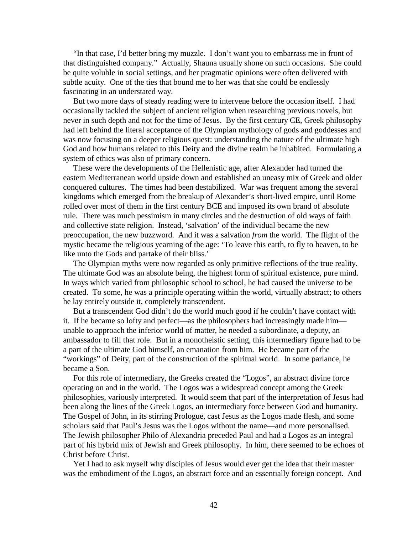"In that case, I'd better bring my muzzle. I don't want you to embarrass me in front of that distinguished company." Actually, Shauna usually shone on such occasions. She could be quite voluble in social settings, and her pragmatic opinions were often delivered with subtle acuity. One of the ties that bound me to her was that she could be endlessly fascinating in an understated way.

 But two more days of steady reading were to intervene before the occasion itself. I had occasionally tackled the subject of ancient religion when researching previous novels, but never in such depth and not for the time of Jesus. By the first century CE, Greek philosophy had left behind the literal acceptance of the Olympian mythology of gods and goddesses and was now focusing on a deeper religious quest: understanding the nature of the ultimate high God and how humans related to this Deity and the divine realm he inhabited. Formulating a system of ethics was also of primary concern.

 These were the developments of the Hellenistic age, after Alexander had turned the eastern Mediterranean world upside down and established an uneasy mix of Greek and older conquered cultures. The times had been destabilized. War was frequent among the several kingdoms which emerged from the breakup of Alexander's short-lived empire, until Rome rolled over most of them in the first century BCE and imposed its own brand of absolute rule. There was much pessimism in many circles and the destruction of old ways of faith and collective state religion. Instead, 'salvation' of the individual became the new preoccupation, the new buzzword. And it was a salvation *from* the world. The flight of the mystic became the religious yearning of the age: 'To leave this earth, to fly to heaven, to be like unto the Gods and partake of their bliss.'

 The Olympian myths were now regarded as only primitive reflections of the true reality. The ultimate God was an absolute being, the highest form of spiritual existence, pure mind. In ways which varied from philosophic school to school, he had caused the universe to be created. To some, he was a principle operating within the world, virtually abstract; to others he lay entirely outside it, completely transcendent.

 But a transcendent God didn't do the world much good if he couldn't have contact with it. If he became so lofty and perfect—as the philosophers had increasingly made him unable to approach the inferior world of matter, he needed a subordinate, a deputy, an ambassador to fill that role. But in a monotheistic setting, this intermediary figure had to be a part of the ultimate God himself, an emanation from him. He became part of the "workings" of Deity, part of the construction of the spiritual world. In some parlance, he became a Son.

 For this role of intermediary, the Greeks created the "Logos", an abstract divine force operating on and in the world. The Logos was a widespread concept among the Greek philosophies, variously interpreted. It would seem that part of the interpretation of Jesus had been along the lines of the Greek Logos, an intermediary force between God and humanity. The Gospel of John, in its stirring Prologue, cast Jesus as the Logos made flesh, and some scholars said that Paul's Jesus was the Logos without the name—and more personalised. The Jewish philosopher Philo of Alexandria preceded Paul and had a Logos as an integral part of his hybrid mix of Jewish and Greek philosophy. In him, there seemed to be echoes of Christ before Christ.

 Yet I had to ask myself why disciples of Jesus would ever get the idea that their master was the embodiment of the Logos, an abstract force and an essentially foreign concept. And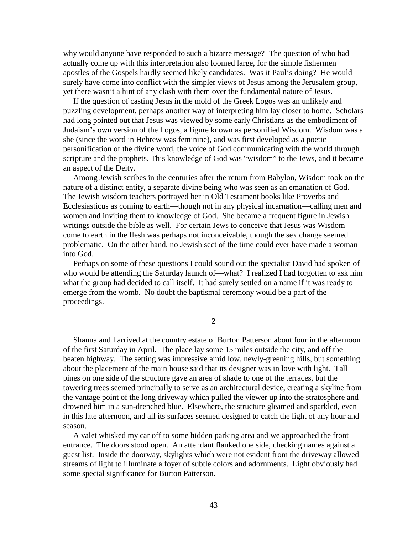why would anyone have responded to such a bizarre message? The question of who had actually come up with this interpretation also loomed large, for the simple fishermen apostles of the Gospels hardly seemed likely candidates. Was it Paul's doing? He would surely have come into conflict with the simpler views of Jesus among the Jerusalem group, yet there wasn't a hint of any clash with them over the fundamental nature of Jesus.

 If the question of casting Jesus in the mold of the Greek Logos was an unlikely and puzzling development, perhaps another way of interpreting him lay closer to home. Scholars had long pointed out that Jesus was viewed by some early Christians as the embodiment of Judaism's own version of the Logos, a figure known as personified Wisdom. Wisdom was a she (since the word in Hebrew was feminine), and was first developed as a poetic personification of the divine word, the voice of God communicating with the world through scripture and the prophets. This knowledge of God was "wisdom" to the Jews, and it became an aspect of the Deity.

 Among Jewish scribes in the centuries after the return from Babylon, Wisdom took on the nature of a distinct entity, a separate divine being who was seen as an emanation of God. The Jewish wisdom teachers portrayed her in Old Testament books like Proverbs and Ecclesiasticus as coming to earth—though not in any physical incarnation—calling men and women and inviting them to knowledge of God. She became a frequent figure in Jewish writings outside the bible as well. For certain Jews to conceive that Jesus was Wisdom come to earth in the flesh was perhaps not inconceivable, though the sex change seemed problematic. On the other hand, no Jewish sect of the time could ever have made a woman into God.

 Perhaps on some of these questions I could sound out the specialist David had spoken of who would be attending the Saturday launch of—what? I realized I had forgotten to ask him what the group had decided to call itself. It had surely settled on a name if it was ready to emerge from the womb. No doubt the baptismal ceremony would be a part of the proceedings.

### **2**

 Shauna and I arrived at the country estate of Burton Patterson about four in the afternoon of the first Saturday in April. The place lay some 15 miles outside the city, and off the beaten highway. The setting was impressive amid low, newly-greening hills, but something about the placement of the main house said that its designer was in love with light. Tall pines on one side of the structure gave an area of shade to one of the terraces, but the towering trees seemed principally to serve as an architectural device, creating a skyline from the vantage point of the long driveway which pulled the viewer up into the stratosphere and drowned him in a sun-drenched blue. Elsewhere, the structure gleamed and sparkled, even in this late afternoon, and all its surfaces seemed designed to catch the light of any hour and season.

 A valet whisked my car off to some hidden parking area and we approached the front entrance. The doors stood open. An attendant flanked one side, checking names against a guest list. Inside the doorway, skylights which were not evident from the driveway allowed streams of light to illuminate a foyer of subtle colors and adornments. Light obviously had some special significance for Burton Patterson.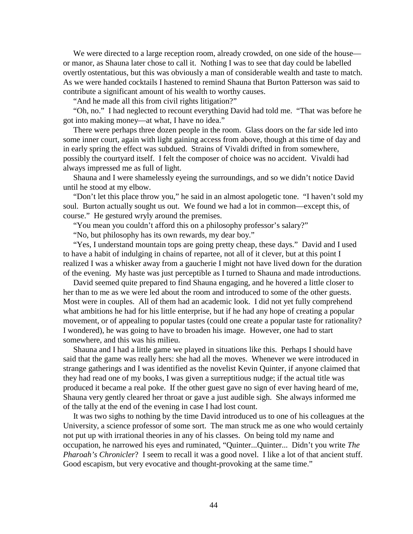We were directed to a large reception room, already crowded, on one side of the house or manor, as Shauna later chose to call it. Nothing I was to see that day could be labelled overtly ostentatious, but this was obviously a man of considerable wealth and taste to match. As we were handed cocktails I hastened to remind Shauna that Burton Patterson was said to contribute a significant amount of his wealth to worthy causes.

"And he made all this from civil rights litigation?"

 "Oh, no." I had neglected to recount everything David had told me. "That was before he got into making money—at what, I have no idea."

 There were perhaps three dozen people in the room. Glass doors on the far side led into some inner court, again with light gaining access from above, though at this time of day and in early spring the effect was subdued. Strains of Vivaldi drifted in from somewhere, possibly the courtyard itself. I felt the composer of choice was no accident. Vivaldi had always impressed me as full of light.

 Shauna and I were shamelessly eyeing the surroundings, and so we didn't notice David until he stood at my elbow.

 "Don't let this place throw you," he said in an almost apologetic tone. "I haven't sold my soul. Burton actually sought us out. We found we had a lot in common—except this, of course." He gestured wryly around the premises.

"You mean you couldn't afford this on a philosophy professor's salary?"

"No, but philosophy has its own rewards, my dear boy."

 "Yes, I understand mountain tops are going pretty cheap, these days." David and I used to have a habit of indulging in chains of repartee, not all of it clever, but at this point I realized I was a whisker away from a gaucherie I might not have lived down for the duration of the evening. My haste was just perceptible as I turned to Shauna and made introductions.

 David seemed quite prepared to find Shauna engaging, and he hovered a little closer to her than to me as we were led about the room and introduced to some of the other guests. Most were in couples. All of them had an academic look. I did not yet fully comprehend what ambitions he had for his little enterprise, but if he had any hope of creating a popular movement, or of appealing to popular tastes (could one create a popular taste for rationality? I wondered), he was going to have to broaden his image. However, one had to start somewhere, and this was his milieu.

 Shauna and I had a little game we played in situations like this. Perhaps I should have said that the game was really hers: she had all the moves. Whenever we were introduced in strange gatherings and I was identified as the novelist Kevin Quinter, if anyone claimed that they had read one of my books, I was given a surreptitious nudge; if the actual title was produced it became a real poke. If the other guest gave no sign of ever having heard of me, Shauna very gently cleared her throat or gave a just audible sigh. She always informed me of the tally at the end of the evening in case I had lost count.

 It was two sighs to nothing by the time David introduced us to one of his colleagues at the University, a science professor of some sort. The man struck me as one who would certainly not put up with irrational theories in any of his classes. On being told my name and occupation, he narrowed his eyes and ruminated, "Quinter...Quinter... Didn't you write *The Pharoah's Chronicler*? I seem to recall it was a good novel. I like a lot of that ancient stuff. Good escapism, but very evocative and thought-provoking at the same time."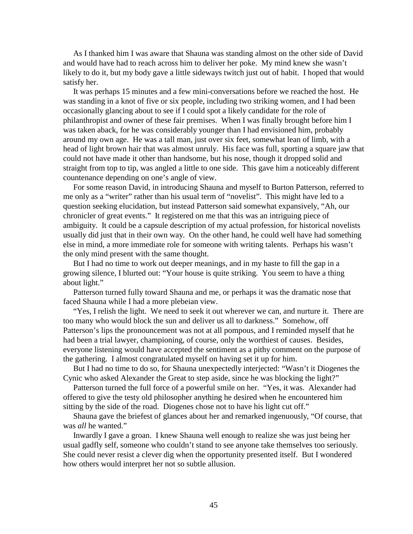As I thanked him I was aware that Shauna was standing almost on the other side of David and would have had to reach across him to deliver her poke. My mind knew she wasn't likely to do it, but my body gave a little sideways twitch just out of habit. I hoped that would satisfy her.

 It was perhaps 15 minutes and a few mini-conversations before we reached the host. He was standing in a knot of five or six people, including two striking women, and I had been occasionally glancing about to see if I could spot a likely candidate for the role of philanthropist and owner of these fair premises. When I was finally brought before him I was taken aback, for he was considerably younger than I had envisioned him, probably around my own age. He was a tall man, just over six feet, somewhat lean of limb, with a head of light brown hair that was almost unruly. His face was full, sporting a square jaw that could not have made it other than handsome, but his nose, though it dropped solid and straight from top to tip, was angled a little to one side. This gave him a noticeably different countenance depending on one's angle of view.

 For some reason David, in introducing Shauna and myself to Burton Patterson, referred to me only as a "writer" rather than his usual term of "novelist". This might have led to a question seeking elucidation, but instead Patterson said somewhat expansively, "Ah, our chronicler of great events." It registered on me that this was an intriguing piece of ambiguity. It could be a capsule description of my actual profession, for historical novelists usually did just that in their own way. On the other hand, he could well have had something else in mind, a more immediate role for someone with writing talents. Perhaps his wasn't the only mind present with the same thought.

 But I had no time to work out deeper meanings, and in my haste to fill the gap in a growing silence, I blurted out: "Your house is quite striking. You seem to have a thing about light."

 Patterson turned fully toward Shauna and me, or perhaps it was the dramatic nose that faced Shauna while I had a more plebeian view.

 "Yes, I relish the light. We need to seek it out wherever we can, and nurture it. There are too many who would block the sun and deliver us all to darkness." Somehow, off Patterson's lips the pronouncement was not at all pompous, and I reminded myself that he had been a trial lawyer, championing, of course, only the worthiest of causes. Besides, everyone listening would have accepted the sentiment as a pithy comment on the purpose of the gathering. I almost congratulated myself on having set it up for him.

 But I had no time to do so, for Shauna unexpectedly interjected: "Wasn't it Diogenes the Cynic who asked Alexander the Great to step aside, since he was blocking the light?"

 Patterson turned the full force of a powerful smile on her. "Yes, it was. Alexander had offered to give the testy old philosopher anything he desired when he encountered him sitting by the side of the road. Diogenes chose not to have his light cut off."

 Shauna gave the briefest of glances about her and remarked ingenuously, "Of course, that was *all* he wanted."

 Inwardly I gave a groan. I knew Shauna well enough to realize she was just being her usual gadfly self, someone who couldn't stand to see anyone take themselves too seriously. She could never resist a clever dig when the opportunity presented itself. But I wondered how others would interpret her not so subtle allusion.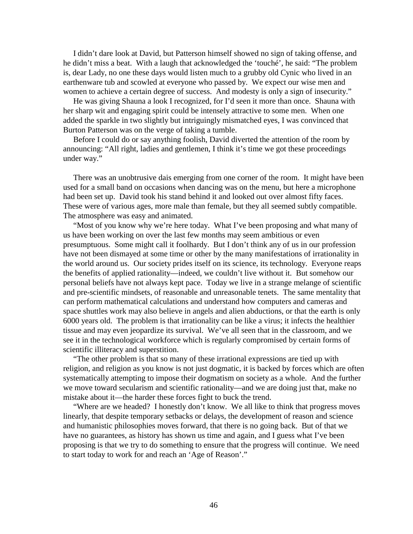I didn't dare look at David, but Patterson himself showed no sign of taking offense, and he didn't miss a beat. With a laugh that acknowledged the 'touché', he said: "The problem is, dear Lady, no one these days would listen much to a grubby old Cynic who lived in an earthenware tub and scowled at everyone who passed by. We expect our wise men and women to achieve a certain degree of success. And modesty is only a sign of insecurity."

 He was giving Shauna a look I recognized, for I'd seen it more than once. Shauna with her sharp wit and engaging spirit could be intensely attractive to some men. When one added the sparkle in two slightly but intriguingly mismatched eyes, I was convinced that Burton Patterson was on the verge of taking a tumble.

 Before I could do or say anything foolish, David diverted the attention of the room by announcing: "All right, ladies and gentlemen, I think it's time we got these proceedings under way."

 There was an unobtrusive dais emerging from one corner of the room. It might have been used for a small band on occasions when dancing was on the menu, but here a microphone had been set up. David took his stand behind it and looked out over almost fifty faces. These were of various ages, more male than female, but they all seemed subtly compatible. The atmosphere was easy and animated.

 "Most of you know why we're here today. What I've been proposing and what many of us have been working on over the last few months may seem ambitious or even presumptuous. Some might call it foolhardy. But I don't think any of us in our profession have not been dismayed at some time or other by the many manifestations of irrationality in the world around us. Our society prides itself on its science, its technology. Everyone reaps the benefits of applied rationality—indeed, we couldn't live without it. But somehow our personal beliefs have not always kept pace. Today we live in a strange melange of scientific and pre-scientific mindsets, of reasonable and unreasonable tenets. The same mentality that can perform mathematical calculations and understand how computers and cameras and space shuttles work may also believe in angels and alien abductions, or that the earth is only 6000 years old. The problem is that irrationality can be like a virus; it infects the healthier tissue and may even jeopardize its survival. We've all seen that in the classroom, and we see it in the technological workforce which is regularly compromised by certain forms of scientific illiteracy and superstition.

 "The other problem is that so many of these irrational expressions are tied up with religion, and religion as you know is not just dogmatic, it is backed by forces which are often systematically attempting to impose their dogmatism on society as a whole. And the further we move toward secularism and scientific rationality—and we are doing just that, make no mistake about it—the harder these forces fight to buck the trend.

 "Where are we headed? I honestly don't know. We all like to think that progress moves linearly, that despite temporary setbacks or delays, the development of reason and science and humanistic philosophies moves forward, that there is no going back. But of that we have no guarantees, as history has shown us time and again, and I guess what I've been proposing is that we try to do something to ensure that the progress will continue. We need to start today to work for and reach an 'Age of Reason'."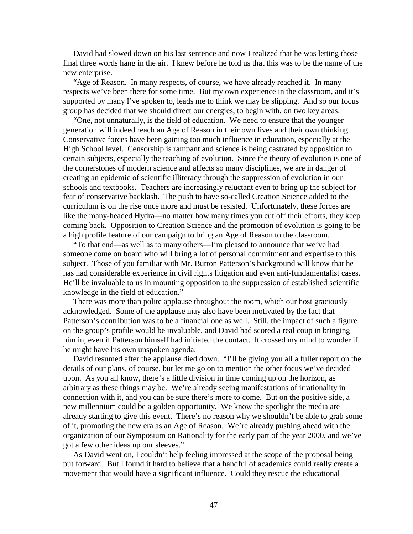David had slowed down on his last sentence and now I realized that he was letting those final three words hang in the air. I knew before he told us that this was to be the name of the new enterprise.

 "Age of Reason. In many respects, of course, we have already reached it. In many respects we've been there for some time. But my own experience in the classroom, and it's supported by many I've spoken to, leads me to think we may be slipping. And so our focus group has decided that we should direct our energies, to begin with, on two key areas.

 "One, not unnaturally, is the field of education. We need to ensure that the younger generation will indeed reach an Age of Reason in their own lives and their own thinking. Conservative forces have been gaining too much influence in education, especially at the High School level. Censorship is rampant and science is being castrated by opposition to certain subjects, especially the teaching of evolution. Since the theory of evolution is one of the cornerstones of modern science and affects so many disciplines, we are in danger of creating an epidemic of scientific illiteracy through the suppression of evolution in our schools and textbooks. Teachers are increasingly reluctant even to bring up the subject for fear of conservative backlash. The push to have so-called Creation Science added to the curriculum is on the rise once more and must be resisted. Unfortunately, these forces are like the many-headed Hydra—no matter how many times you cut off their efforts, they keep coming back. Opposition to Creation Science and the promotion of evolution is going to be a high profile feature of our campaign to bring an Age of Reason to the classroom.

 "To that end—as well as to many others—I'm pleased to announce that we've had someone come on board who will bring a lot of personal commitment and expertise to this subject. Those of you familiar with Mr. Burton Patterson's background will know that he has had considerable experience in civil rights litigation and even anti-fundamentalist cases. He'll be invaluable to us in mounting opposition to the suppression of established scientific knowledge in the field of education."

 There was more than polite applause throughout the room, which our host graciously acknowledged. Some of the applause may also have been motivated by the fact that Patterson's contribution was to be a financial one as well. Still, the impact of such a figure on the group's profile would be invaluable, and David had scored a real coup in bringing him in, even if Patterson himself had initiated the contact. It crossed my mind to wonder if he might have his own unspoken agenda.

 David resumed after the applause died down. "I'll be giving you all a fuller report on the details of our plans, of course, but let me go on to mention the other focus we've decided upon. As you all know, there's a little division in time coming up on the horizon, as arbitrary as these things may be. We're already seeing manifestations of irrationality in connection with it, and you can be sure there's more to come. But on the positive side, a new millennium could be a golden opportunity. We know the spotlight the media are already starting to give this event. There's no reason why we shouldn't be able to grab some of it, promoting the new era as an Age of Reason. We're already pushing ahead with the organization of our Symposium on Rationality for the early part of the year 2000, and we've got a few other ideas up our sleeves."

 As David went on, I couldn't help feeling impressed at the scope of the proposal being put forward. But I found it hard to believe that a handful of academics could really create a movement that would have a significant influence. Could they rescue the educational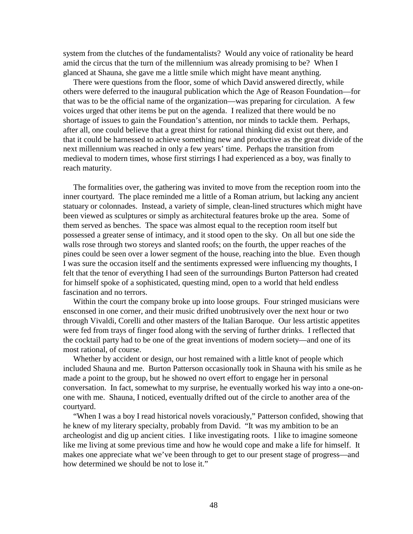system from the clutches of the fundamentalists? Would any voice of rationality be heard amid the circus that the turn of the millennium was already promising to be? When I glanced at Shauna, she gave me a little smile which might have meant anything.

 There were questions from the floor, some of which David answered directly, while others were deferred to the inaugural publication which the Age of Reason Foundation—for that was to be the official name of the organization—was preparing for circulation. A few voices urged that other items be put on the agenda. I realized that there would be no shortage of issues to gain the Foundation's attention, nor minds to tackle them. Perhaps, after all, one could believe that a great thirst for rational thinking did exist out there, and that it could be harnessed to achieve something new and productive as the great divide of the next millennium was reached in only a few years' time. Perhaps the transition from medieval to modern times, whose first stirrings I had experienced as a boy, was finally to reach maturity.

 The formalities over, the gathering was invited to move from the reception room into the inner courtyard. The place reminded me a little of a Roman atrium, but lacking any ancient statuary or colonnades. Instead, a variety of simple, clean-lined structures which might have been viewed as sculptures or simply as architectural features broke up the area. Some of them served as benches. The space was almost equal to the reception room itself but possessed a greater sense of intimacy, and it stood open to the sky. On all but one side the walls rose through two storeys and slanted roofs; on the fourth, the upper reaches of the pines could be seen over a lower segment of the house, reaching into the blue. Even though I was sure the occasion itself and the sentiments expressed were influencing my thoughts, I felt that the tenor of everything I had seen of the surroundings Burton Patterson had created for himself spoke of a sophisticated, questing mind, open to a world that held endless fascination and no terrors.

 Within the court the company broke up into loose groups. Four stringed musicians were ensconsed in one corner, and their music drifted unobtrusively over the next hour or two through Vivaldi, Corelli and other masters of the Italian Baroque. Our less artistic appetites were fed from trays of finger food along with the serving of further drinks. I reflected that the cocktail party had to be one of the great inventions of modern society—and one of its most rational, of course.

 Whether by accident or design, our host remained with a little knot of people which included Shauna and me. Burton Patterson occasionally took in Shauna with his smile as he made a point to the group, but he showed no overt effort to engage her in personal conversation. In fact, somewhat to my surprise, he eventually worked his way into a one-onone with me. Shauna, I noticed, eventually drifted out of the circle to another area of the courtyard.

 "When I was a boy I read historical novels voraciously," Patterson confided, showing that he knew of my literary specialty, probably from David. "It was my ambition to be an archeologist and dig up ancient cities. I like investigating roots. I like to imagine someone like me living at some previous time and how he would cope and make a life for himself. It makes one appreciate what we've been through to get to our present stage of progress—and how determined we should be not to lose it."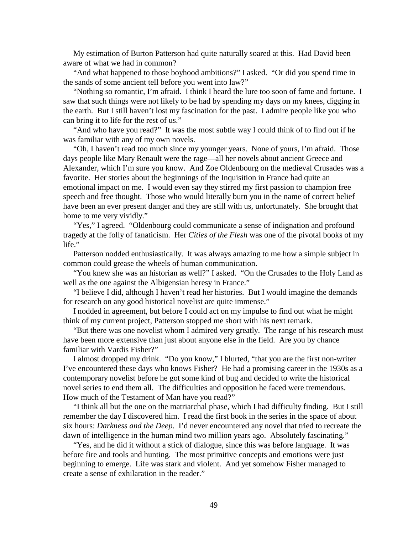My estimation of Burton Patterson had quite naturally soared at this. Had David been aware of what we had in common?

 "And what happened to those boyhood ambitions?" I asked. "Or did you spend time in the sands of some ancient tell before you went into law?"

 "Nothing so romantic, I'm afraid. I think I heard the lure too soon of fame and fortune. I saw that such things were not likely to be had by spending my days on my knees, digging in the earth. But I still haven't lost my fascination for the past. I admire people like you who can bring it to life for the rest of us."

 "And who have you read?" It was the most subtle way I could think of to find out if he was familiar with any of my own novels.

 "Oh, I haven't read too much since my younger years. None of yours, I'm afraid. Those days people like Mary Renault were the rage—all her novels about ancient Greece and Alexander, which I'm sure you know. And Zoe Oldenbourg on the medieval Crusades was a favorite. Her stories about the beginnings of the Inquisition in France had quite an emotional impact on me. I would even say they stirred my first passion to champion free speech and free thought. Those who would literally burn you in the name of correct belief have been an ever present danger and they are still with us, unfortunately. She brought that home to me very vividly."

 "Yes," I agreed. "Oldenbourg could communicate a sense of indignation and profound tragedy at the folly of fanaticism. Her *Cities of the Flesh* was one of the pivotal books of my life."

 Patterson nodded enthusiastically. It was always amazing to me how a simple subject in common could grease the wheels of human communication.

 "You knew she was an historian as well?" I asked. "On the Crusades to the Holy Land as well as the one against the Albigensian heresy in France."

 "I believe I did, although I haven't read her histories. But I would imagine the demands for research on any good historical novelist are quite immense."

 I nodded in agreement, but before I could act on my impulse to find out what he might think of my current project, Patterson stopped me short with his next remark.

 "But there was one novelist whom I admired very greatly. The range of his research must have been more extensive than just about anyone else in the field. Are you by chance familiar with Vardis Fisher?"

 I almost dropped my drink. "Do you know," I blurted, "that you are the first non-writer I've encountered these days who knows Fisher? He had a promising career in the 1930s as a contemporary novelist before he got some kind of bug and decided to write the historical novel series to end them all. The difficulties and opposition he faced were tremendous. How much of the Testament of Man have you read?"

 "I think all but the one on the matriarchal phase, which I had difficulty finding. But I still remember the day I discovered him. I read the first book in the series in the space of about six hours: *Darkness and the Deep*. I'd never encountered any novel that tried to recreate the dawn of intelligence in the human mind two million years ago. Absolutely fascinating."

 "Yes, and he did it without a stick of dialogue, since this was before language. It was before fire and tools and hunting. The most primitive concepts and emotions were just beginning to emerge. Life was stark and violent. And yet somehow Fisher managed to create a sense of exhilaration in the reader."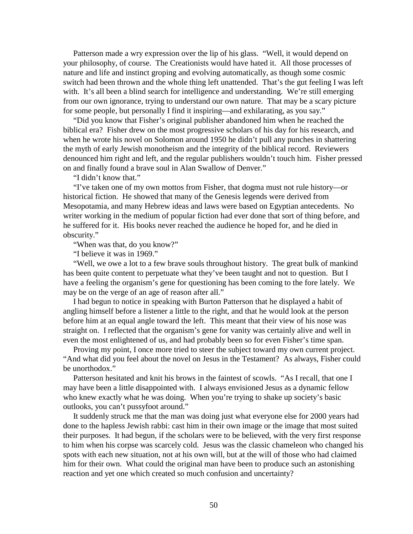Patterson made a wry expression over the lip of his glass. "Well, it would depend on your philosophy, of course. The Creationists would have hated it. All those processes of nature and life and instinct groping and evolving automatically, as though some cosmic switch had been thrown and the whole thing left unattended. That's the gut feeling I was left with. It's all been a blind search for intelligence and understanding. We're still emerging from our own ignorance, trying to understand our own nature. That may be a scary picture for some people, but personally I find it inspiring—and exhilarating, as you say."

 "Did you know that Fisher's original publisher abandoned him when he reached the biblical era? Fisher drew on the most progressive scholars of his day for his research, and when he wrote his novel on Solomon around 1950 he didn't pull any punches in shattering the myth of early Jewish monotheism and the integrity of the biblical record. Reviewers denounced him right and left, and the regular publishers wouldn't touch him. Fisher pressed on and finally found a brave soul in Alan Swallow of Denver."

"I didn't know that."

 "I've taken one of my own mottos from Fisher, that dogma must not rule history—or historical fiction. He showed that many of the Genesis legends were derived from Mesopotamia, and many Hebrew ideas and laws were based on Egyptian antecedents. No writer working in the medium of popular fiction had ever done that sort of thing before, and he suffered for it. His books never reached the audience he hoped for, and he died in obscurity."

"When was that, do you know?"

"I believe it was in 1969."

 "Well, we owe a lot to a few brave souls throughout history. The great bulk of mankind has been quite content to perpetuate what they've been taught and not to question. But I have a feeling the organism's gene for questioning has been coming to the fore lately. We may be on the verge of an age of reason after all."

 I had begun to notice in speaking with Burton Patterson that he displayed a habit of angling himself before a listener a little to the right, and that he would look at the person before him at an equal angle toward the left. This meant that their view of his nose was straight on. I reflected that the organism's gene for vanity was certainly alive and well in even the most enlightened of us, and had probably been so for even Fisher's time span.

 Proving my point, I once more tried to steer the subject toward my own current project. "And what did you feel about the novel on Jesus in the Testament? As always, Fisher could be unorthodox."

 Patterson hesitated and knit his brows in the faintest of scowls. "As I recall, that one I may have been a little disappointed with. I always envisioned Jesus as a dynamic fellow who knew exactly what he was doing. When you're trying to shake up society's basic outlooks, you can't pussyfoot around."

 It suddenly struck me that the man was doing just what everyone else for 2000 years had done to the hapless Jewish rabbi: cast him in their own image or the image that most suited their purposes. It had begun, if the scholars were to be believed, with the very first response to him when his corpse was scarcely cold. Jesus was the classic chameleon who changed his spots with each new situation, not at his own will, but at the will of those who had claimed him for their own. What could the original man have been to produce such an astonishing reaction and yet one which created so much confusion and uncertainty?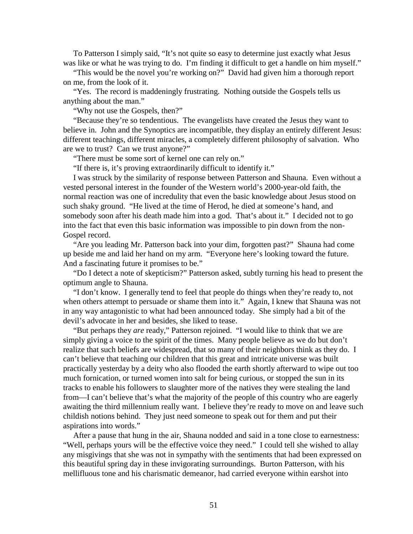To Patterson I simply said, "It's not quite so easy to determine just exactly what Jesus was like or what he was trying to do. I'm finding it difficult to get a handle on him myself."

 "This would be the novel you're working on?" David had given him a thorough report on me, from the look of it.

 "Yes. The record is maddeningly frustrating. Nothing outside the Gospels tells us anything about the man."

"Why not use the Gospels, then?"

 "Because they're so tendentious. The evangelists have created the Jesus they want to believe in. John and the Synoptics are incompatible, they display an entirely different Jesus: different teachings, different miracles, a completely different philosophy of salvation. Who are we to trust? Can we trust anyone?"

"There must be some sort of kernel one can rely on."

"If there is, it's proving extraordinarily difficult to identify it."

 I was struck by the similarity of response between Patterson and Shauna. Even without a vested personal interest in the founder of the Western world's 2000-year-old faith, the normal reaction was one of incredulity that even the basic knowledge about Jesus stood on such shaky ground. "He lived at the time of Herod, he died at someone's hand, and somebody soon after his death made him into a god. That's about it." I decided not to go into the fact that even this basic information was impossible to pin down from the non-Gospel record.

 "Are you leading Mr. Patterson back into your dim, forgotten past?" Shauna had come up beside me and laid her hand on my arm. "Everyone here's looking toward the future. And a fascinating future it promises to be."

 "Do I detect a note of skepticism?" Patterson asked, subtly turning his head to present the optimum angle to Shauna.

 "I don't know. I generally tend to feel that people do things when they're ready to, not when others attempt to persuade or shame them into it." Again, I knew that Shauna was not in any way antagonistic to what had been announced today. She simply had a bit of the devil's advocate in her and besides, she liked to tease.

 "But perhaps they *are* ready," Patterson rejoined. "I would like to think that we are simply giving a voice to the spirit of the times. Many people believe as we do but don't realize that such beliefs are widespread, that so many of their neighbors think as they do. I can't believe that teaching our children that this great and intricate universe was built practically yesterday by a deity who also flooded the earth shortly afterward to wipe out too much fornication, or turned women into salt for being curious, or stopped the sun in its tracks to enable his followers to slaughter more of the natives they were stealing the land from—I can't believe that's what the majority of the people of this country who are eagerly awaiting the third millennium really want. I believe they're ready to move on and leave such childish notions behind. They just need someone to speak out for them and put their aspirations into words."

 After a pause that hung in the air, Shauna nodded and said in a tone close to earnestness: "Well, perhaps yours will be the effective voice they need." I could tell she wished to allay any misgivings that she was not in sympathy with the sentiments that had been expressed on this beautiful spring day in these invigorating surroundings. Burton Patterson, with his mellifluous tone and his charismatic demeanor, had carried everyone within earshot into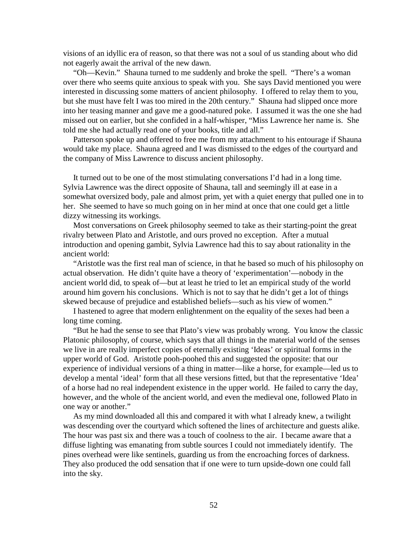visions of an idyllic era of reason, so that there was not a soul of us standing about who did not eagerly await the arrival of the new dawn.

 "Oh—Kevin." Shauna turned to me suddenly and broke the spell. "There's a woman over there who seems quite anxious to speak with you. She says David mentioned you were interested in discussing some matters of ancient philosophy. I offered to relay them to you, but she must have felt I was too mired in the 20th century." Shauna had slipped once more into her teasing manner and gave me a good-natured poke. I assumed it was the one she had missed out on earlier, but she confided in a half-whisper, "Miss Lawrence her name is. She told me she had actually read one of your books, title and all."

 Patterson spoke up and offered to free me from my attachment to his entourage if Shauna would take my place. Shauna agreed and I was dismissed to the edges of the courtyard and the company of Miss Lawrence to discuss ancient philosophy.

 It turned out to be one of the most stimulating conversations I'd had in a long time. Sylvia Lawrence was the direct opposite of Shauna, tall and seemingly ill at ease in a somewhat oversized body, pale and almost prim, yet with a quiet energy that pulled one in to her. She seemed to have so much going on in her mind at once that one could get a little dizzy witnessing its workings.

 Most conversations on Greek philosophy seemed to take as their starting-point the great rivalry between Plato and Aristotle, and ours proved no exception. After a mutual introduction and opening gambit, Sylvia Lawrence had this to say about rationality in the ancient world:

 "Aristotle was the first real man of science, in that he based so much of his philosophy on actual observation. He didn't quite have a theory of 'experimentation'—nobody in the ancient world did, to speak of—but at least he tried to let an empirical study of the world around him govern his conclusions. Which is not to say that he didn't get a lot of things skewed because of prejudice and established beliefs—such as his view of women."

 I hastened to agree that modern enlightenment on the equality of the sexes had been a long time coming.

 "But he had the sense to see that Plato's view was probably wrong. You know the classic Platonic philosophy, of course, which says that all things in the material world of the senses we live in are really imperfect copies of eternally existing 'Ideas' or spiritual forms in the upper world of God. Aristotle pooh-poohed this and suggested the opposite: that our experience of individual versions of a thing in matter—like a horse, for example—led us to develop a mental 'ideal' form that all these versions fitted, but that the representative 'Idea' of a horse had no real independent existence in the upper world. He failed to carry the day, however, and the whole of the ancient world, and even the medieval one, followed Plato in one way or another."

 As my mind downloaded all this and compared it with what I already knew, a twilight was descending over the courtyard which softened the lines of architecture and guests alike. The hour was past six and there was a touch of coolness to the air. I became aware that a diffuse lighting was emanating from subtle sources I could not immediately identify. The pines overhead were like sentinels, guarding us from the encroaching forces of darkness. They also produced the odd sensation that if one were to turn upside-down one could fall into the sky.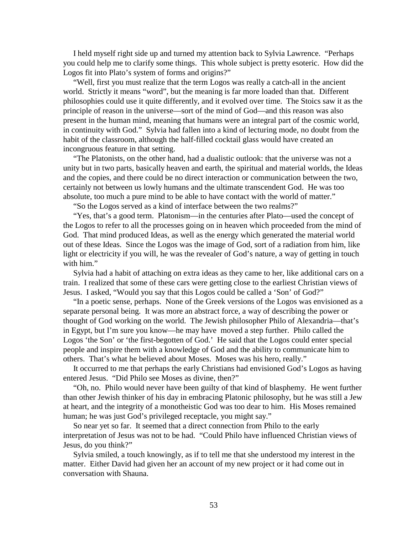I held myself right side up and turned my attention back to Sylvia Lawrence. "Perhaps you could help me to clarify some things. This whole subject is pretty esoteric. How did the Logos fit into Plato's system of forms and origins?"

 "Well, first you must realize that the term Logos was really a catch-all in the ancient world. Strictly it means "word", but the meaning is far more loaded than that. Different philosophies could use it quite differently, and it evolved over time. The Stoics saw it as the principle of reason in the universe—sort of the mind of God—and this reason was also present in the human mind, meaning that humans were an integral part of the cosmic world, in continuity with God." Sylvia had fallen into a kind of lecturing mode, no doubt from the habit of the classroom, although the half-filled cocktail glass would have created an incongruous feature in that setting.

 "The Platonists, on the other hand, had a dualistic outlook: that the universe was not a unity but in two parts, basically heaven and earth, the spiritual and material worlds, the Ideas and the copies, and there could be no direct interaction or communication between the two, certainly not between us lowly humans and the ultimate transcendent God. He was too absolute, too much a pure mind to be able to have contact with the world of matter."

"So the Logos served as a kind of interface between the two realms?"

 "Yes, that's a good term. Platonism—in the centuries after Plato—used the concept of the Logos to refer to all the processes going on in heaven which proceeded from the mind of God. That mind produced Ideas, as well as the energy which generated the material world out of these Ideas. Since the Logos was the image of God, sort of a radiation from him, like light or electricity if you will, he was the revealer of God's nature, a way of getting in touch with him."

 Sylvia had a habit of attaching on extra ideas as they came to her, like additional cars on a train. I realized that some of these cars were getting close to the earliest Christian views of Jesus. I asked, "Would you say that this Logos could be called a 'Son' of God?"

 "In a poetic sense, perhaps. None of the Greek versions of the Logos was envisioned as a separate personal being. It was more an abstract force, a way of describing the power or thought of God working on the world. The Jewish philosopher Philo of Alexandria—that's in Egypt, but I'm sure you know—he may have moved a step further. Philo called the Logos 'the Son' or 'the first-begotten of God.' He said that the Logos could enter special people and inspire them with a knowledge of God and the ability to communicate him to others. That's what he believed about Moses. Moses was his hero, really."

 It occurred to me that perhaps the early Christians had envisioned God's Logos as having entered Jesus. "Did Philo see Moses as divine, then?"

 "Oh, no. Philo would never have been guilty of that kind of blasphemy. He went further than other Jewish thinker of his day in embracing Platonic philosophy, but he was still a Jew at heart, and the integrity of a monotheistic God was too dear to him. His Moses remained human; he was just God's privileged receptacle, you might say."

 So near yet so far. It seemed that a direct connection from Philo to the early interpretation of Jesus was not to be had. "Could Philo have influenced Christian views of Jesus, do you think?"

 Sylvia smiled, a touch knowingly, as if to tell me that she understood my interest in the matter. Either David had given her an account of my new project or it had come out in conversation with Shauna.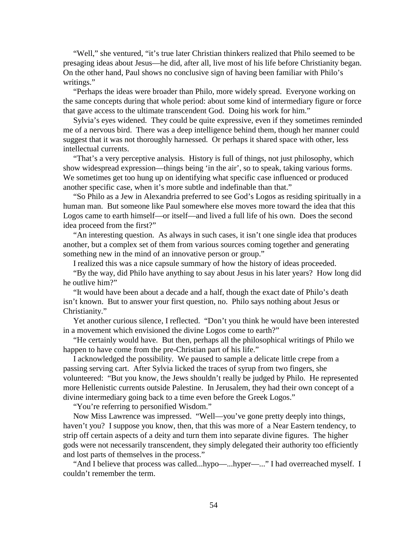"Well," she ventured, "it's true later Christian thinkers realized that Philo seemed to be presaging ideas about Jesus—he did, after all, live most of his life before Christianity began. On the other hand, Paul shows no conclusive sign of having been familiar with Philo's writings."

 "Perhaps the ideas were broader than Philo, more widely spread. Everyone working on the same concepts during that whole period: about some kind of intermediary figure or force that gave access to the ultimate transcendent God. Doing his work for him."

 Sylvia's eyes widened. They could be quite expressive, even if they sometimes reminded me of a nervous bird. There was a deep intelligence behind them, though her manner could suggest that it was not thoroughly harnessed. Or perhaps it shared space with other, less intellectual currents.

 "That's a very perceptive analysis. History is full of things, not just philosophy, which show widespread expression—things being 'in the air', so to speak, taking various forms. We sometimes get too hung up on identifying what specific case influenced or produced another specific case, when it's more subtle and indefinable than that."

 "So Philo as a Jew in Alexandria preferred to see God's Logos as residing spiritually in a human man. But someone like Paul somewhere else moves more toward the idea that this Logos came to earth himself—or itself—and lived a full life of his own. Does the second idea proceed from the first?"

 "An interesting question. As always in such cases, it isn't one single idea that produces another, but a complex set of them from various sources coming together and generating something new in the mind of an innovative person or group."

I realized this was a nice capsule summary of how the history of ideas proceeded.

 "By the way, did Philo have anything to say about Jesus in his later years? How long did he outlive him?"

 "It would have been about a decade and a half, though the exact date of Philo's death isn't known. But to answer your first question, no. Philo says nothing about Jesus or Christianity."

 Yet another curious silence, I reflected. "Don't you think he would have been interested in a movement which envisioned the divine Logos come to earth?"

 "He certainly would have. But then, perhaps all the philosophical writings of Philo we happen to have come from the pre-Christian part of his life."

 I acknowledged the possibility. We paused to sample a delicate little crepe from a passing serving cart. After Sylvia licked the traces of syrup from two fingers, she volunteered: "But you know, the Jews shouldn't really be judged by Philo. He represented more Hellenistic currents outside Palestine. In Jerusalem, they had their own concept of a divine intermediary going back to a time even before the Greek Logos."

"You're referring to personified Wisdom."

 Now Miss Lawrence was impressed. "Well—you've gone pretty deeply into things, haven't you? I suppose you know, then, that this was more of a Near Eastern tendency, to strip off certain aspects of a deity and turn them into separate divine figures. The higher gods were not necessarily transcendent, they simply delegated their authority too efficiently and lost parts of themselves in the process."

 "And I believe that process was called...hypo—...hyper—..." I had overreached myself. I couldn't remember the term.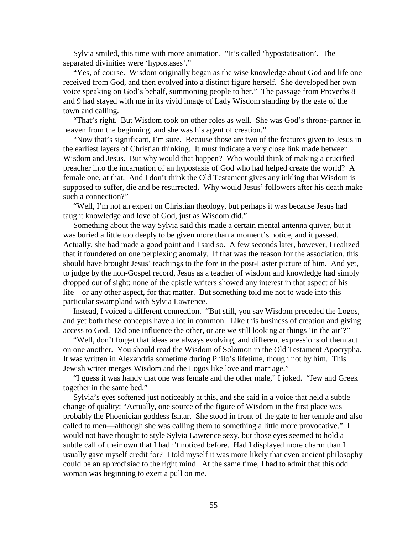Sylvia smiled, this time with more animation. "It's called 'hypostatisation'. The separated divinities were 'hypostases'."

 "Yes, of course. Wisdom originally began as the wise knowledge about God and life one received from God, and then evolved into a distinct figure herself. She developed her own voice speaking on God's behalf, summoning people to her." The passage from Proverbs 8 and 9 had stayed with me in its vivid image of Lady Wisdom standing by the gate of the town and calling.

 "That's right. But Wisdom took on other roles as well. She was God's throne-partner in heaven from the beginning, and she was his agent of creation."

 "Now that's significant, I'm sure. Because those are two of the features given to Jesus in the earliest layers of Christian thinking. It must indicate a very close link made between Wisdom and Jesus. But why would that happen? Who would think of making a crucified preacher into the incarnation of an hypostasis of God who had helped create the world? A female one, at that. And I don't think the Old Testament gives any inkling that Wisdom is supposed to suffer, die and be resurrected. Why would Jesus' followers after his death make such a connection?"

 "Well, I'm not an expert on Christian theology, but perhaps it was because Jesus had taught knowledge and love of God, just as Wisdom did."

 Something about the way Sylvia said this made a certain mental antenna quiver, but it was buried a little too deeply to be given more than a moment's notice, and it passed. Actually, she had made a good point and I said so. A few seconds later, however, I realized that it foundered on one perplexing anomaly. If that was the reason for the association, this should have brought Jesus' teachings to the fore in the post-Easter picture of him. And yet, to judge by the non-Gospel record, Jesus as a teacher of wisdom and knowledge had simply dropped out of sight; none of the epistle writers showed any interest in that aspect of his life—or any other aspect, for that matter. But something told me not to wade into this particular swampland with Sylvia Lawrence.

 Instead, I voiced a different connection. "But still, you say Wisdom preceded the Logos, and yet both these concepts have a lot in common. Like this business of creation and giving access to God. Did one influence the other, or are we still looking at things 'in the air'?"

 "Well, don't forget that ideas are always evolving, and different expressions of them act on one another. You should read the Wisdom of Solomon in the Old Testament Apocrypha. It was written in Alexandria sometime during Philo's lifetime, though not by him. This Jewish writer merges Wisdom and the Logos like love and marriage."

 "I guess it was handy that one was female and the other male," I joked. "Jew and Greek together in the same bed."

 Sylvia's eyes softened just noticeably at this, and she said in a voice that held a subtle change of quality: "Actually, one source of the figure of Wisdom in the first place was probably the Phoenician goddess Ishtar. She stood in front of the gate to her temple and also called to men—although she was calling them to something a little more provocative." I would not have thought to style Sylvia Lawrence sexy, but those eyes seemed to hold a subtle call of their own that I hadn't noticed before. Had I displayed more charm than I usually gave myself credit for? I told myself it was more likely that even ancient philosophy could be an aphrodisiac to the right mind. At the same time, I had to admit that this odd woman was beginning to exert a pull on me.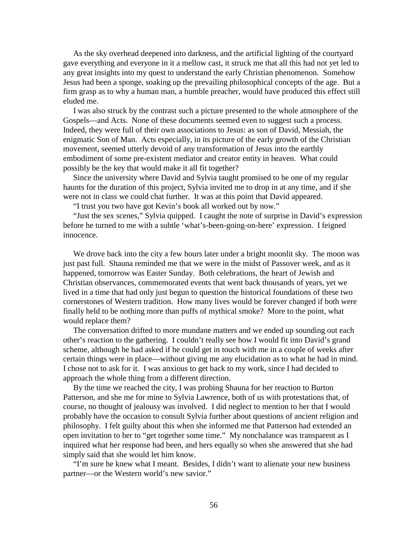As the sky overhead deepened into darkness, and the artificial lighting of the courtyard gave everything and everyone in it a mellow cast, it struck me that all this had not yet led to any great insights into my quest to understand the early Christian phenomenon. Somehow Jesus had been a sponge, soaking up the prevailing philosophical concepts of the age. But a firm grasp as to why a human man, a humble preacher, would have produced this effect still eluded me.

 I was also struck by the contrast such a picture presented to the whole atmosphere of the Gospels—and Acts. None of these documents seemed even to suggest such a process. Indeed, they were full of their own associations to Jesus: as son of David, Messiah, the enigmatic Son of Man. Acts especially, in its picture of the early growth of the Christian movement, seemed utterly devoid of any transformation of Jesus into the earthly embodiment of some pre-existent mediator and creator entity in heaven. What could possibly be the key that would make it all fit together?

 Since the university where David and Sylvia taught promised to be one of my regular haunts for the duration of this project, Sylvia invited me to drop in at any time, and if she were not in class we could chat further. It was at this point that David appeared.

"I trust you two have got Kevin's book all worked out by now."

 "Just the sex scenes," Sylvia quipped. I caught the note of surprise in David's expression before he turned to me with a subtle 'what's-been-going-on-here' expression. I feigned innocence.

We drove back into the city a few hours later under a bright moonlit sky. The moon was just past full. Shauna reminded me that we were in the midst of Passover week, and as it happened, tomorrow was Easter Sunday. Both celebrations, the heart of Jewish and Christian observances, commemorated events that went back thousands of years, yet we lived in a time that had only just begun to question the historical foundations of these two cornerstones of Western tradition. How many lives would be forever changed if both were finally held to be nothing more than puffs of mythical smoke? More to the point, what would replace them?

 The conversation drifted to more mundane matters and we ended up sounding out each other's reaction to the gathering. I couldn't really see how I would fit into David's grand scheme, although he had asked if he could get in touch with me in a couple of weeks after certain things were in place—without giving me any elucidation as to what he had in mind. I chose not to ask for it. I was anxious to get back to my work, since I had decided to approach the whole thing from a different direction.

 By the time we reached the city, I was probing Shauna for her reaction to Burton Patterson, and she me for mine to Sylvia Lawrence, both of us with protestations that, of course, no thought of jealousy was involved. I did neglect to mention to her that I would probably have the occasion to consult Sylvia further about questions of ancient religion and philosophy. I felt guilty about this when she informed me that Patterson had extended an open invitation to her to "get together some time." My nonchalance was transparent as I inquired what her response had been, and hers equally so when she answered that she had simply said that she would let him know.

 "I'm sure he knew what I meant. Besides, I didn't want to alienate your new business partner—or the Western world's new savior."